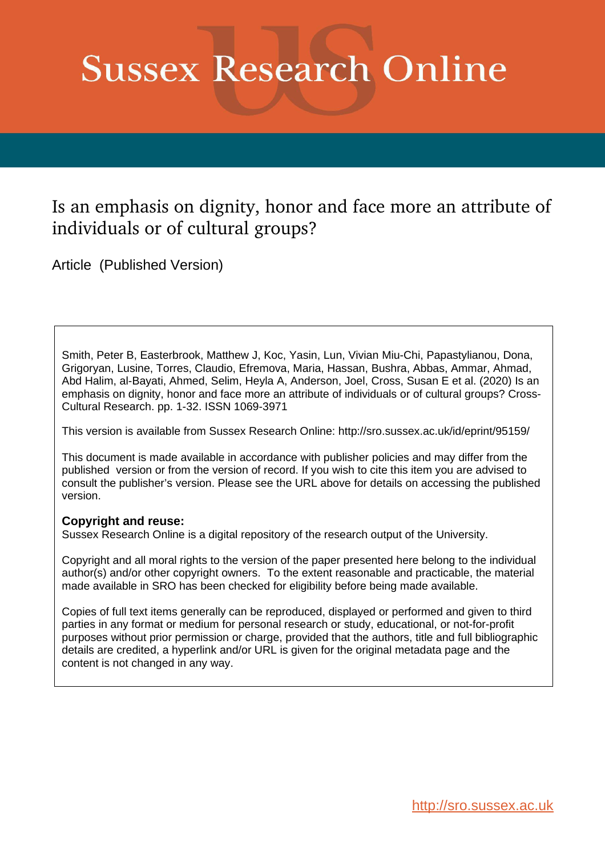# **Sussex Research Online**

# Is an emphasis on dignity, honor and face more an attribute of individuals or of cultural groups?

Article (Published Version)

Smith, Peter B, Easterbrook, Matthew J, Koc, Yasin, Lun, Vivian Miu-Chi, Papastylianou, Dona, Grigoryan, Lusine, Torres, Claudio, Efremova, Maria, Hassan, Bushra, Abbas, Ammar, Ahmad, Abd Halim, al-Bayati, Ahmed, Selim, Heyla A, Anderson, Joel, Cross, Susan E et al. (2020) Is an emphasis on dignity, honor and face more an attribute of individuals or of cultural groups? Cross-Cultural Research. pp. 1-32. ISSN 1069-3971

This version is available from Sussex Research Online: http://sro.sussex.ac.uk/id/eprint/95159/

This document is made available in accordance with publisher policies and may differ from the published version or from the version of record. If you wish to cite this item you are advised to consult the publisher's version. Please see the URL above for details on accessing the published version.

# **Copyright and reuse:**

Sussex Research Online is a digital repository of the research output of the University.

Copyright and all moral rights to the version of the paper presented here belong to the individual author(s) and/or other copyright owners. To the extent reasonable and practicable, the material made available in SRO has been checked for eligibility before being made available.

Copies of full text items generally can be reproduced, displayed or performed and given to third parties in any format or medium for personal research or study, educational, or not-for-profit purposes without prior permission or charge, provided that the authors, title and full bibliographic details are credited, a hyperlink and/or URL is given for the original metadata page and the content is not changed in any way.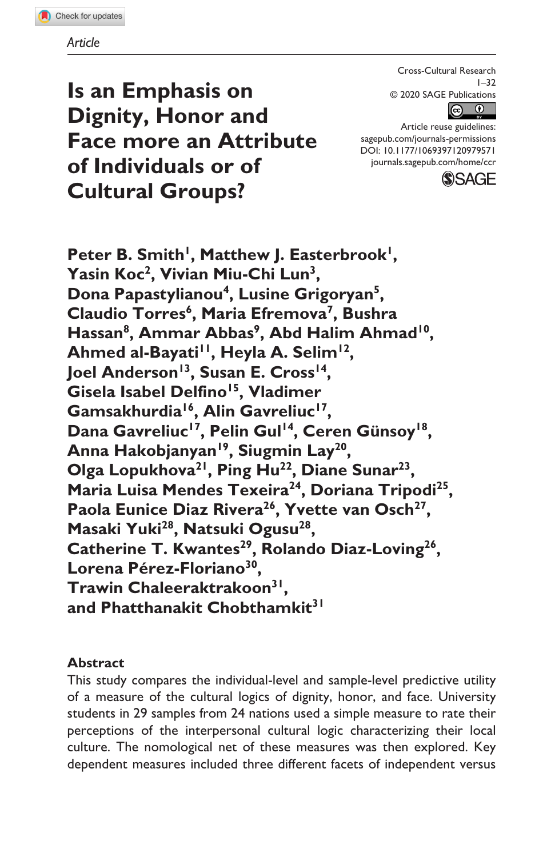Cross-Cultural Research  $1 - 32$ © 2020 SAGE Publications  $\odot$  $(cc)$ 

DOI: 10.1177/1069397120979571 Article reuse guidelines: [sagepub.com/journals-permissions](https://us.sagepub.com/en-us/journals-permissions) [journals.sagepub.com/home/ccr](https://journals.sagepub.com/home/ccr)



**Is an Emphasis on Dignity, Honor and Face more an Attribute of Individuals or of Cultural Groups?**

Peter B. Smith<sup>1</sup>, Matthew J. Easterbrook<sup>1</sup>, **Yasin Koc2, Vivian Miu-Chi Lun3, Dona Papastylianou4, Lusine Grigoryan5,**  Claudio Torres<sup>6</sup>, Maria Efremova<sup>7</sup>, Bushra Hassan<sup>8</sup>, Ammar Abbas<sup>9</sup>, Abd Halim Ahmad<sup>10</sup>, Ahmed al-Bayati<sup>11</sup>, Heyla A. Selim<sup>12</sup>, Joel Anderson<sup>13</sup>, Susan E. Cross<sup>14</sup>, Gisela Isabel Delfino<sup>15</sup>, Vladimer Gamsakhurdia<sup>16</sup>, Alin Gavreliuc<sup>17</sup>, Dana Gavreliuc<sup>17</sup>, Pelin Gul<sup>14</sup>, Ceren Günsoy<sup>18</sup>, Anna Hakobjanyan<sup>19</sup>, Siugmin Lay<sup>20</sup>, Olga Lopukhova<sup>21</sup>, Ping Hu<sup>22</sup>, Diane Sunar<sup>23</sup>, Maria Luisa Mendes Texeira<sup>24</sup>, Doriana Tripodi<sup>25</sup>, Paola Eunice Diaz Rivera<sup>26</sup>, Yvette van Osch<sup>27</sup>. **Masaki Yuki28, Natsuki Ogusu28,**  Catherine T. Kwantes<sup>29</sup>, Rolando Diaz-Loving<sup>26</sup>, **Lorena Pérez-Floriano30, Trawin Chaleeraktrakoon31, and Phatthanakit Chobthamkit31**

#### **Abstract**

This study compares the individual-level and sample-level predictive utility of a measure of the cultural logics of dignity, honor, and face. University students in 29 samples from 24 nations used a simple measure to rate their perceptions of the interpersonal cultural logic characterizing their local culture. The nomological net of these measures was then explored. Key dependent measures included three different facets of independent versus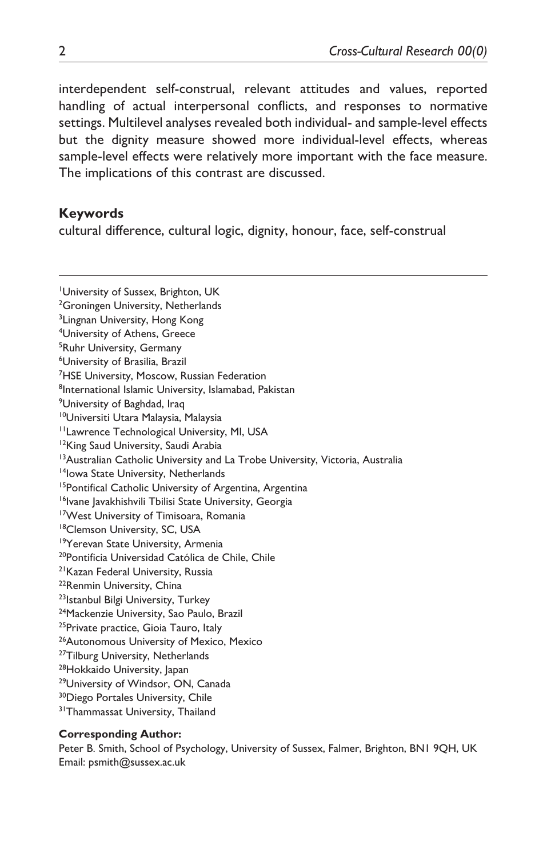interdependent self-construal, relevant attitudes and values, reported handling of actual interpersonal conflicts, and responses to normative settings. Multilevel analyses revealed both individual- and sample-level effects but the dignity measure showed more individual-level effects, whereas sample-level effects were relatively more important with the face measure. The implications of this contrast are discussed.

#### **Keywords**

cultural difference, cultural logic, dignity, honour, face, self-construal

1 University of Sussex, Brighton, UK <sup>2</sup>Groningen University, Netherlands <sup>3</sup>Lingnan University, Hong Kong 4 University of Athens, Greece 5 Ruhr University, Germany 6 University of Brasilia, Brazil <sup>7</sup>HSE University, Moscow, Russian Federation <sup>8</sup>International Islamic University, Islamabad, Pakistan <sup>9</sup>University of Baghdad, Iraq 10Universiti Utara Malaysia, Malaysia 11Lawrence Technological University, MI, USA <sup>12</sup>King Saud University, Saudi Arabia <sup>13</sup> Australian Catholic University and La Trobe University, Victoria, Australia <sup>14</sup>Iowa State University, Netherlands 15Pontifical Catholic University of Argentina, Argentina <sup>16</sup>Ivane Javakhishvili Tbilisi State University, Georgia 17West University of Timisoara, Romania 18Clemson University, SC, USA <sup>19</sup>Yerevan State University, Armenia <sup>20</sup>Pontificia Universidad Católica de Chile, Chile <sup>21</sup> Kazan Federal University, Russia <sup>22</sup>Renmin University, China 23 Istanbul Bilgi University, Turkey 24Mackenzie University, Sao Paulo, Brazil <sup>25</sup>Private practice, Gioia Tauro, Italy <sup>26</sup>Autonomous University of Mexico, Mexico <sup>27</sup>Tilburg University, Netherlands <sup>28</sup>Hokkaido University, Japan <sup>29</sup>University of Windsor, ON, Canada <sup>30</sup>Diego Portales University, Chile <sup>31</sup>Thammassat University, Thailand

#### **Corresponding Author:**

Peter B. Smith, School of Psychology, University of Sussex, Falmer, Brighton, BN1 9QH, UK Email: [psmith@sussex.ac.uk](mailto:psmith@sussex.ac.uk)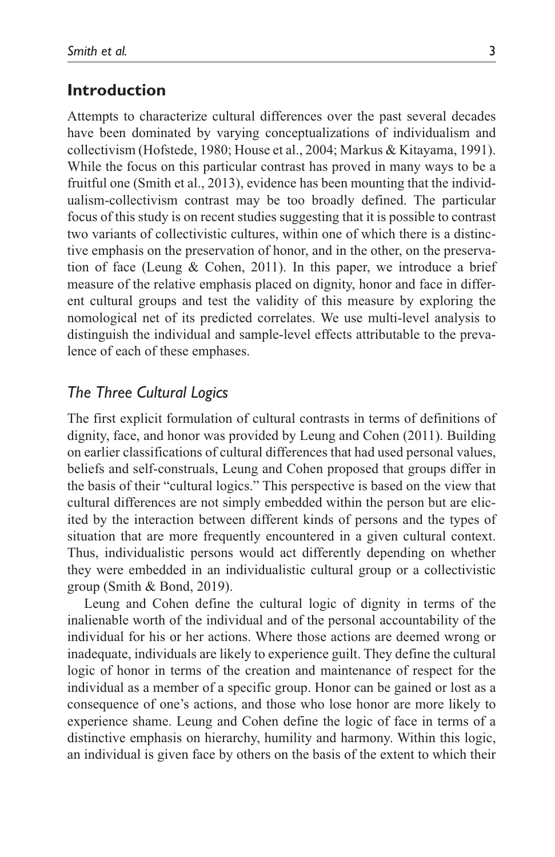#### **Introduction**

Attempts to characterize cultural differences over the past several decades have been dominated by varying conceptualizations of individualism and collectivism (Hofstede, 1980; House et al., 2004; Markus & Kitayama, 1991). While the focus on this particular contrast has proved in many ways to be a fruitful one (Smith et al., 2013), evidence has been mounting that the individualism-collectivism contrast may be too broadly defined. The particular focus of this study is on recent studies suggesting that it is possible to contrast two variants of collectivistic cultures, within one of which there is a distinctive emphasis on the preservation of honor, and in the other, on the preservation of face (Leung & Cohen, 2011). In this paper, we introduce a brief measure of the relative emphasis placed on dignity, honor and face in different cultural groups and test the validity of this measure by exploring the nomological net of its predicted correlates. We use multi-level analysis to distinguish the individual and sample-level effects attributable to the prevalence of each of these emphases.

#### *The Three Cultural Logics*

The first explicit formulation of cultural contrasts in terms of definitions of dignity, face, and honor was provided by Leung and Cohen (2011). Building on earlier classifications of cultural differences that had used personal values, beliefs and self-construals, Leung and Cohen proposed that groups differ in the basis of their "cultural logics." This perspective is based on the view that cultural differences are not simply embedded within the person but are elicited by the interaction between different kinds of persons and the types of situation that are more frequently encountered in a given cultural context. Thus, individualistic persons would act differently depending on whether they were embedded in an individualistic cultural group or a collectivistic group (Smith & Bond, 2019).

Leung and Cohen define the cultural logic of dignity in terms of the inalienable worth of the individual and of the personal accountability of the individual for his or her actions. Where those actions are deemed wrong or inadequate, individuals are likely to experience guilt. They define the cultural logic of honor in terms of the creation and maintenance of respect for the individual as a member of a specific group. Honor can be gained or lost as a consequence of one's actions, and those who lose honor are more likely to experience shame. Leung and Cohen define the logic of face in terms of a distinctive emphasis on hierarchy, humility and harmony. Within this logic, an individual is given face by others on the basis of the extent to which their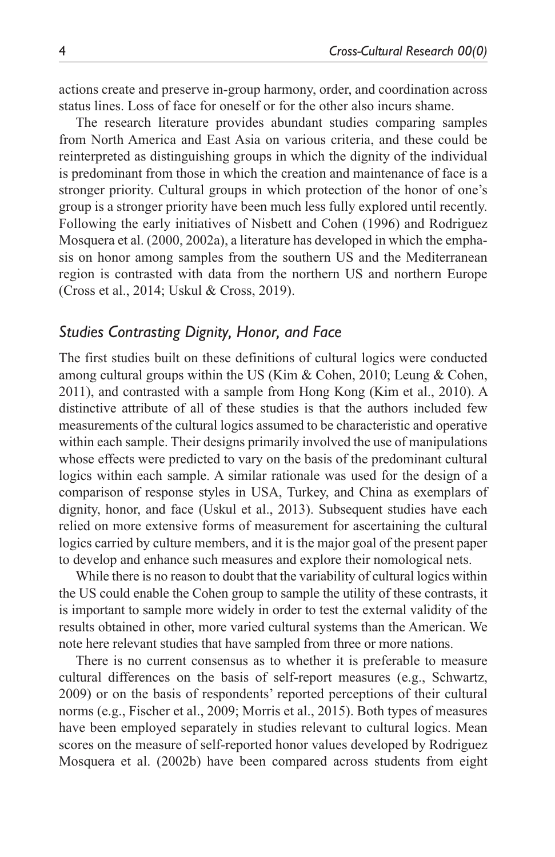actions create and preserve in-group harmony, order, and coordination across status lines. Loss of face for oneself or for the other also incurs shame.

The research literature provides abundant studies comparing samples from North America and East Asia on various criteria, and these could be reinterpreted as distinguishing groups in which the dignity of the individual is predominant from those in which the creation and maintenance of face is a stronger priority. Cultural groups in which protection of the honor of one's group is a stronger priority have been much less fully explored until recently. Following the early initiatives of Nisbett and Cohen (1996) and Rodriguez Mosquera et al. (2000, 2002a), a literature has developed in which the emphasis on honor among samples from the southern US and the Mediterranean region is contrasted with data from the northern US and northern Europe (Cross et al., 2014; Uskul & Cross, 2019).

#### *Studies Contrasting Dignity, Honor, and Face*

The first studies built on these definitions of cultural logics were conducted among cultural groups within the US (Kim & Cohen, 2010; Leung & Cohen, 2011), and contrasted with a sample from Hong Kong (Kim et al., 2010). A distinctive attribute of all of these studies is that the authors included few measurements of the cultural logics assumed to be characteristic and operative within each sample. Their designs primarily involved the use of manipulations whose effects were predicted to vary on the basis of the predominant cultural logics within each sample. A similar rationale was used for the design of a comparison of response styles in USA, Turkey, and China as exemplars of dignity, honor, and face (Uskul et al., 2013). Subsequent studies have each relied on more extensive forms of measurement for ascertaining the cultural logics carried by culture members, and it is the major goal of the present paper to develop and enhance such measures and explore their nomological nets.

While there is no reason to doubt that the variability of cultural logics within the US could enable the Cohen group to sample the utility of these contrasts, it is important to sample more widely in order to test the external validity of the results obtained in other, more varied cultural systems than the American. We note here relevant studies that have sampled from three or more nations.

There is no current consensus as to whether it is preferable to measure cultural differences on the basis of self-report measures (e.g., Schwartz, 2009) or on the basis of respondents' reported perceptions of their cultural norms (e.g., Fischer et al., 2009; Morris et al., 2015). Both types of measures have been employed separately in studies relevant to cultural logics. Mean scores on the measure of self-reported honor values developed by Rodriguez Mosquera et al. (2002b) have been compared across students from eight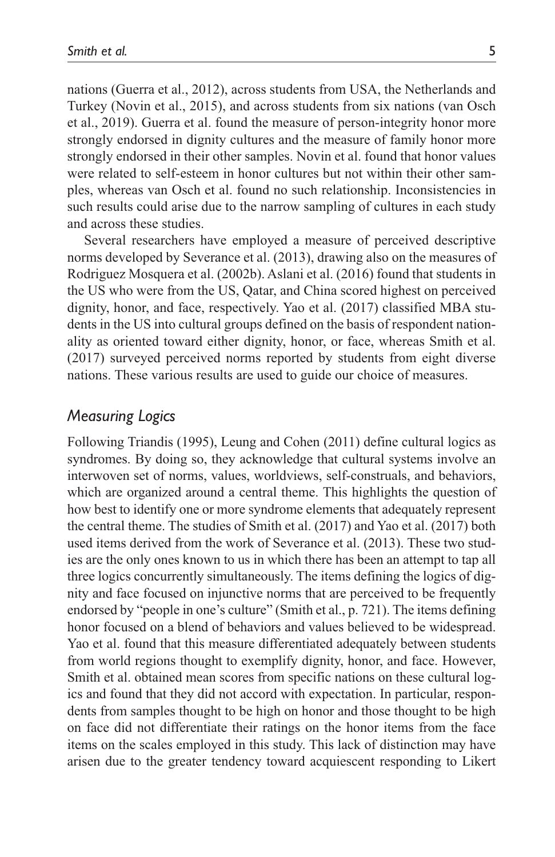nations (Guerra et al., 2012), across students from USA, the Netherlands and Turkey (Novin et al., 2015), and across students from six nations (van Osch et al., 2019). Guerra et al. found the measure of person-integrity honor more strongly endorsed in dignity cultures and the measure of family honor more strongly endorsed in their other samples. Novin et al. found that honor values were related to self-esteem in honor cultures but not within their other samples, whereas van Osch et al. found no such relationship. Inconsistencies in such results could arise due to the narrow sampling of cultures in each study and across these studies.

Several researchers have employed a measure of perceived descriptive norms developed by Severance et al. (2013), drawing also on the measures of Rodriguez Mosquera et al. (2002b). Aslani et al. (2016) found that students in the US who were from the US, Qatar, and China scored highest on perceived dignity, honor, and face, respectively. Yao et al. (2017) classified MBA students in the US into cultural groups defined on the basis of respondent nationality as oriented toward either dignity, honor, or face, whereas Smith et al. (2017) surveyed perceived norms reported by students from eight diverse nations. These various results are used to guide our choice of measures.

#### *Measuring Logics*

Following Triandis (1995), Leung and Cohen (2011) define cultural logics as syndromes. By doing so, they acknowledge that cultural systems involve an interwoven set of norms, values, worldviews, self-construals, and behaviors, which are organized around a central theme. This highlights the question of how best to identify one or more syndrome elements that adequately represent the central theme. The studies of Smith et al. (2017) and Yao et al. (2017) both used items derived from the work of Severance et al. (2013). These two studies are the only ones known to us in which there has been an attempt to tap all three logics concurrently simultaneously. The items defining the logics of dignity and face focused on injunctive norms that are perceived to be frequently endorsed by "people in one's culture" (Smith et al., p. 721). The items defining honor focused on a blend of behaviors and values believed to be widespread. Yao et al. found that this measure differentiated adequately between students from world regions thought to exemplify dignity, honor, and face. However, Smith et al. obtained mean scores from specific nations on these cultural logics and found that they did not accord with expectation. In particular, respondents from samples thought to be high on honor and those thought to be high on face did not differentiate their ratings on the honor items from the face items on the scales employed in this study. This lack of distinction may have arisen due to the greater tendency toward acquiescent responding to Likert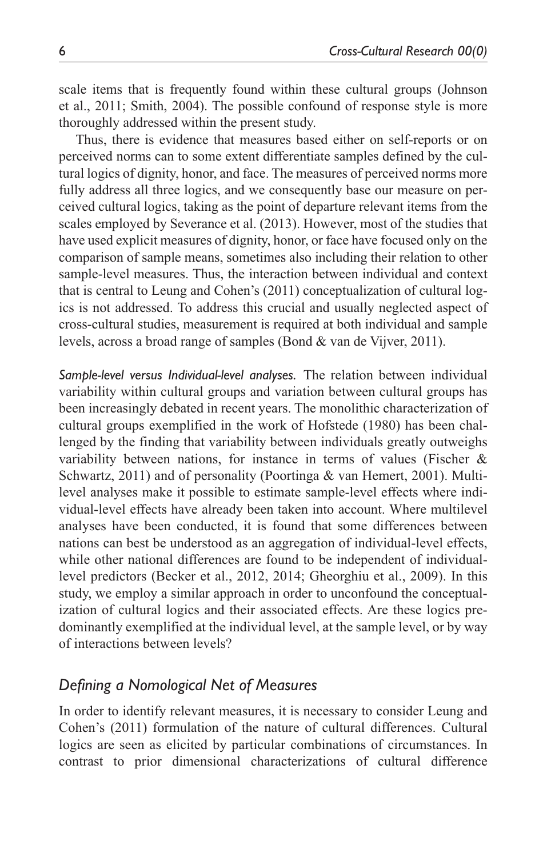scale items that is frequently found within these cultural groups (Johnson et al., 2011; Smith, 2004). The possible confound of response style is more thoroughly addressed within the present study.

Thus, there is evidence that measures based either on self-reports or on perceived norms can to some extent differentiate samples defined by the cultural logics of dignity, honor, and face. The measures of perceived norms more fully address all three logics, and we consequently base our measure on perceived cultural logics, taking as the point of departure relevant items from the scales employed by Severance et al. (2013). However, most of the studies that have used explicit measures of dignity, honor, or face have focused only on the comparison of sample means, sometimes also including their relation to other sample-level measures. Thus, the interaction between individual and context that is central to Leung and Cohen's (2011) conceptualization of cultural logics is not addressed. To address this crucial and usually neglected aspect of cross-cultural studies, measurement is required at both individual and sample levels, across a broad range of samples (Bond & van de Vijver, 2011).

*Sample-level versus Individual-level analyses.* The relation between individual variability within cultural groups and variation between cultural groups has been increasingly debated in recent years. The monolithic characterization of cultural groups exemplified in the work of Hofstede (1980) has been challenged by the finding that variability between individuals greatly outweighs variability between nations, for instance in terms of values (Fischer & Schwartz, 2011) and of personality (Poortinga & van Hemert, 2001). Multilevel analyses make it possible to estimate sample-level effects where individual-level effects have already been taken into account. Where multilevel analyses have been conducted, it is found that some differences between nations can best be understood as an aggregation of individual-level effects, while other national differences are found to be independent of individuallevel predictors (Becker et al., 2012, 2014; Gheorghiu et al., 2009). In this study, we employ a similar approach in order to unconfound the conceptualization of cultural logics and their associated effects. Are these logics predominantly exemplified at the individual level, at the sample level, or by way of interactions between levels?

# *Defining a Nomological Net of Measures*

In order to identify relevant measures, it is necessary to consider Leung and Cohen's (2011) formulation of the nature of cultural differences. Cultural logics are seen as elicited by particular combinations of circumstances. In contrast to prior dimensional characterizations of cultural difference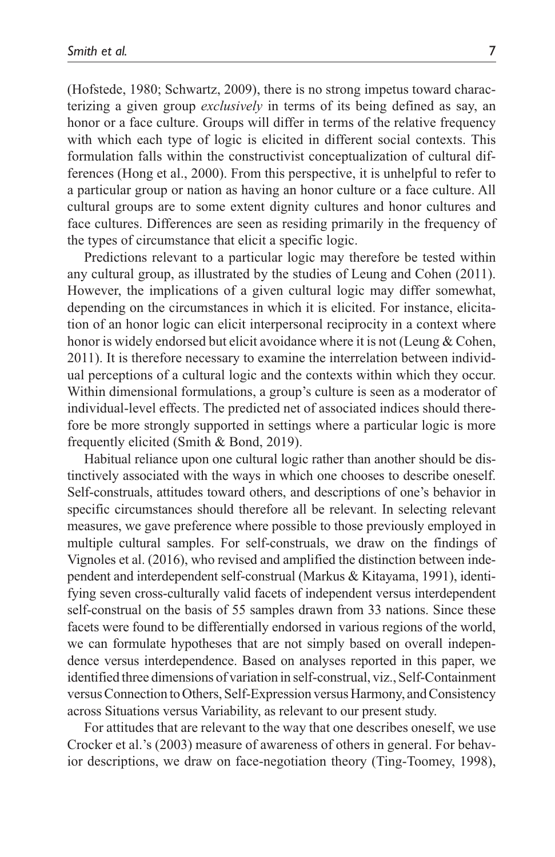(Hofstede, 1980; Schwartz, 2009), there is no strong impetus toward characterizing a given group *exclusively* in terms of its being defined as say, an honor or a face culture. Groups will differ in terms of the relative frequency with which each type of logic is elicited in different social contexts. This formulation falls within the constructivist conceptualization of cultural differences (Hong et al., 2000). From this perspective, it is unhelpful to refer to a particular group or nation as having an honor culture or a face culture. All cultural groups are to some extent dignity cultures and honor cultures and face cultures. Differences are seen as residing primarily in the frequency of the types of circumstance that elicit a specific logic.

Predictions relevant to a particular logic may therefore be tested within any cultural group, as illustrated by the studies of Leung and Cohen (2011). However, the implications of a given cultural logic may differ somewhat, depending on the circumstances in which it is elicited. For instance, elicitation of an honor logic can elicit interpersonal reciprocity in a context where honor is widely endorsed but elicit avoidance where it is not (Leung & Cohen, 2011). It is therefore necessary to examine the interrelation between individual perceptions of a cultural logic and the contexts within which they occur. Within dimensional formulations, a group's culture is seen as a moderator of individual-level effects. The predicted net of associated indices should therefore be more strongly supported in settings where a particular logic is more frequently elicited (Smith & Bond, 2019).

Habitual reliance upon one cultural logic rather than another should be distinctively associated with the ways in which one chooses to describe oneself. Self-construals, attitudes toward others, and descriptions of one's behavior in specific circumstances should therefore all be relevant. In selecting relevant measures, we gave preference where possible to those previously employed in multiple cultural samples. For self-construals, we draw on the findings of Vignoles et al. (2016), who revised and amplified the distinction between independent and interdependent self-construal (Markus & Kitayama, 1991), identifying seven cross-culturally valid facets of independent versus interdependent self-construal on the basis of 55 samples drawn from 33 nations. Since these facets were found to be differentially endorsed in various regions of the world, we can formulate hypotheses that are not simply based on overall independence versus interdependence. Based on analyses reported in this paper, we identified three dimensions of variation in self-construal, viz., Self-Containment versus Connection to Others, Self-Expression versus Harmony, and Consistency across Situations versus Variability, as relevant to our present study.

For attitudes that are relevant to the way that one describes oneself, we use Crocker et al.'s (2003) measure of awareness of others in general. For behavior descriptions, we draw on face-negotiation theory (Ting-Toomey, 1998),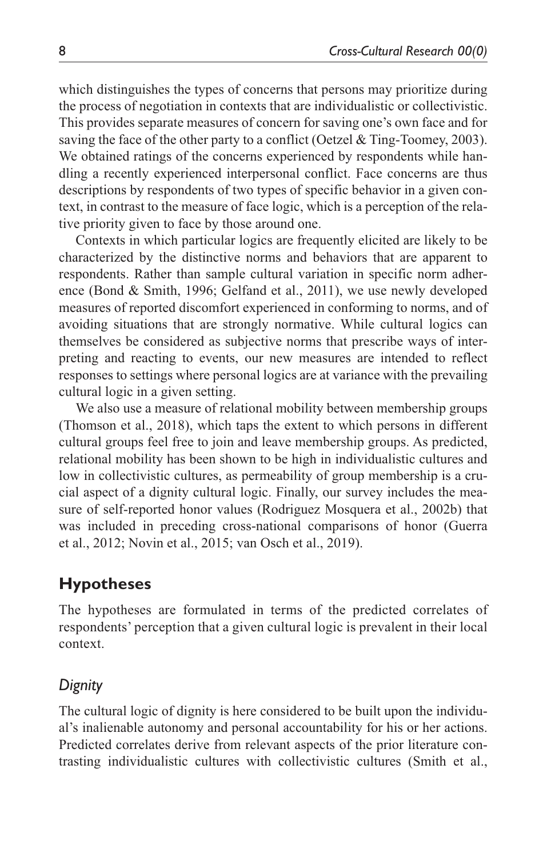which distinguishes the types of concerns that persons may prioritize during the process of negotiation in contexts that are individualistic or collectivistic. This provides separate measures of concern for saving one's own face and for saving the face of the other party to a conflict (Oetzel & Ting-Toomey, 2003). We obtained ratings of the concerns experienced by respondents while handling a recently experienced interpersonal conflict. Face concerns are thus descriptions by respondents of two types of specific behavior in a given context, in contrast to the measure of face logic, which is a perception of the relative priority given to face by those around one.

Contexts in which particular logics are frequently elicited are likely to be characterized by the distinctive norms and behaviors that are apparent to respondents. Rather than sample cultural variation in specific norm adherence (Bond & Smith, 1996; Gelfand et al., 2011), we use newly developed measures of reported discomfort experienced in conforming to norms, and of avoiding situations that are strongly normative. While cultural logics can themselves be considered as subjective norms that prescribe ways of interpreting and reacting to events, our new measures are intended to reflect responses to settings where personal logics are at variance with the prevailing cultural logic in a given setting.

We also use a measure of relational mobility between membership groups (Thomson et al., 2018), which taps the extent to which persons in different cultural groups feel free to join and leave membership groups. As predicted, relational mobility has been shown to be high in individualistic cultures and low in collectivistic cultures, as permeability of group membership is a crucial aspect of a dignity cultural logic. Finally, our survey includes the measure of self-reported honor values (Rodriguez Mosquera et al., 2002b) that was included in preceding cross-national comparisons of honor (Guerra et al., 2012; Novin et al., 2015; van Osch et al., 2019).

# **Hypotheses**

The hypotheses are formulated in terms of the predicted correlates of respondents' perception that a given cultural logic is prevalent in their local context.

# *Dignity*

The cultural logic of dignity is here considered to be built upon the individual's inalienable autonomy and personal accountability for his or her actions. Predicted correlates derive from relevant aspects of the prior literature contrasting individualistic cultures with collectivistic cultures (Smith et al.,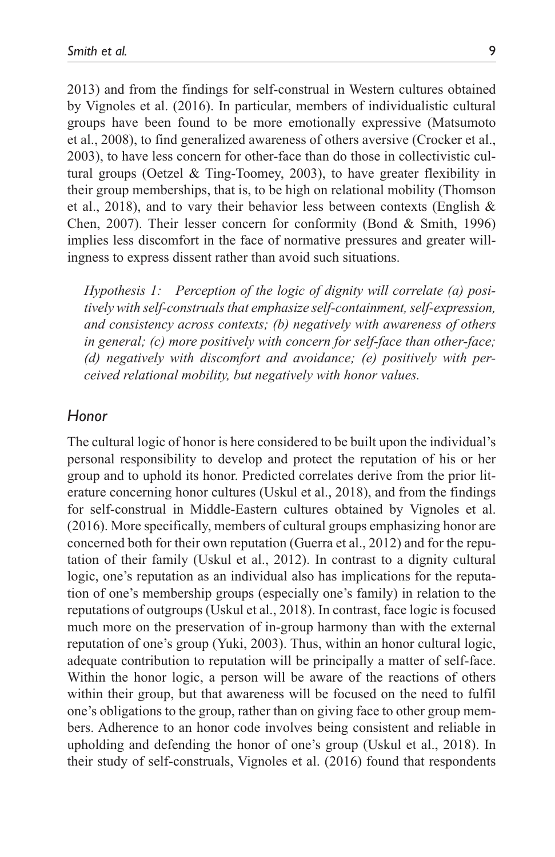2013) and from the findings for self-construal in Western cultures obtained by Vignoles et al. (2016). In particular, members of individualistic cultural groups have been found to be more emotionally expressive (Matsumoto et al., 2008), to find generalized awareness of others aversive (Crocker et al., 2003), to have less concern for other-face than do those in collectivistic cultural groups (Oetzel & Ting-Toomey, 2003), to have greater flexibility in their group memberships, that is, to be high on relational mobility (Thomson et al., 2018), and to vary their behavior less between contexts (English & Chen, 2007). Their lesser concern for conformity (Bond & Smith, 1996) implies less discomfort in the face of normative pressures and greater willingness to express dissent rather than avoid such situations.

*Hypothesis 1: Perception of the logic of dignity will correlate (a) positively with self-construals that emphasize self-containment, self-expression, and consistency across contexts; (b) negatively with awareness of others in general; (c) more positively with concern for self-face than other-face; (d) negatively with discomfort and avoidance; (e) positively with perceived relational mobility, but negatively with honor values.*

#### *Honor*

The cultural logic of honor is here considered to be built upon the individual's personal responsibility to develop and protect the reputation of his or her group and to uphold its honor. Predicted correlates derive from the prior literature concerning honor cultures (Uskul et al., 2018), and from the findings for self-construal in Middle-Eastern cultures obtained by Vignoles et al. (2016). More specifically, members of cultural groups emphasizing honor are concerned both for their own reputation (Guerra et al., 2012) and for the reputation of their family (Uskul et al., 2012). In contrast to a dignity cultural logic, one's reputation as an individual also has implications for the reputation of one's membership groups (especially one's family) in relation to the reputations of outgroups (Uskul et al., 2018). In contrast, face logic is focused much more on the preservation of in-group harmony than with the external reputation of one's group (Yuki, 2003). Thus, within an honor cultural logic, adequate contribution to reputation will be principally a matter of self-face. Within the honor logic, a person will be aware of the reactions of others within their group, but that awareness will be focused on the need to fulfil one's obligations to the group, rather than on giving face to other group members. Adherence to an honor code involves being consistent and reliable in upholding and defending the honor of one's group (Uskul et al., 2018). In their study of self-construals, Vignoles et al. (2016) found that respondents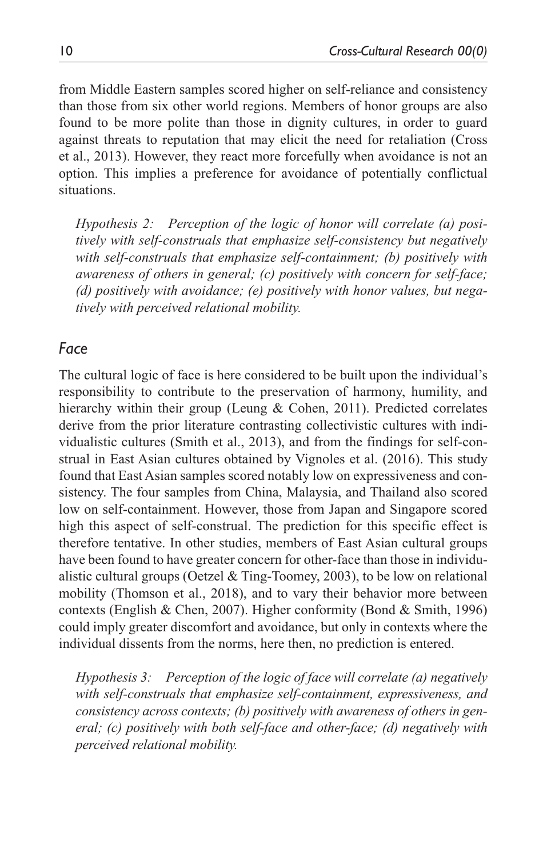from Middle Eastern samples scored higher on self-reliance and consistency than those from six other world regions. Members of honor groups are also found to be more polite than those in dignity cultures, in order to guard against threats to reputation that may elicit the need for retaliation (Cross et al., 2013). However, they react more forcefully when avoidance is not an option. This implies a preference for avoidance of potentially conflictual situations.

*Hypothesis 2: Perception of the logic of honor will correlate (a) positively with self-construals that emphasize self-consistency but negatively with self-construals that emphasize self-containment; (b) positively with awareness of others in general; (c) positively with concern for self-face; (d) positively with avoidance; (e) positively with honor values, but negatively with perceived relational mobility.*

#### *Face*

The cultural logic of face is here considered to be built upon the individual's responsibility to contribute to the preservation of harmony, humility, and hierarchy within their group (Leung & Cohen, 2011). Predicted correlates derive from the prior literature contrasting collectivistic cultures with individualistic cultures (Smith et al., 2013), and from the findings for self-construal in East Asian cultures obtained by Vignoles et al. (2016). This study found that East Asian samples scored notably low on expressiveness and consistency. The four samples from China, Malaysia, and Thailand also scored low on self-containment. However, those from Japan and Singapore scored high this aspect of self-construal. The prediction for this specific effect is therefore tentative. In other studies, members of East Asian cultural groups have been found to have greater concern for other-face than those in individualistic cultural groups (Oetzel & Ting-Toomey, 2003), to be low on relational mobility (Thomson et al., 2018), and to vary their behavior more between contexts (English & Chen, 2007). Higher conformity (Bond & Smith, 1996) could imply greater discomfort and avoidance, but only in contexts where the individual dissents from the norms, here then, no prediction is entered.

*Hypothesis 3: Perception of the logic of face will correlate (a) negatively with self-construals that emphasize self-containment, expressiveness, and consistency across contexts; (b) positively with awareness of others in general; (c) positively with both self-face and other-face; (d) negatively with perceived relational mobility.*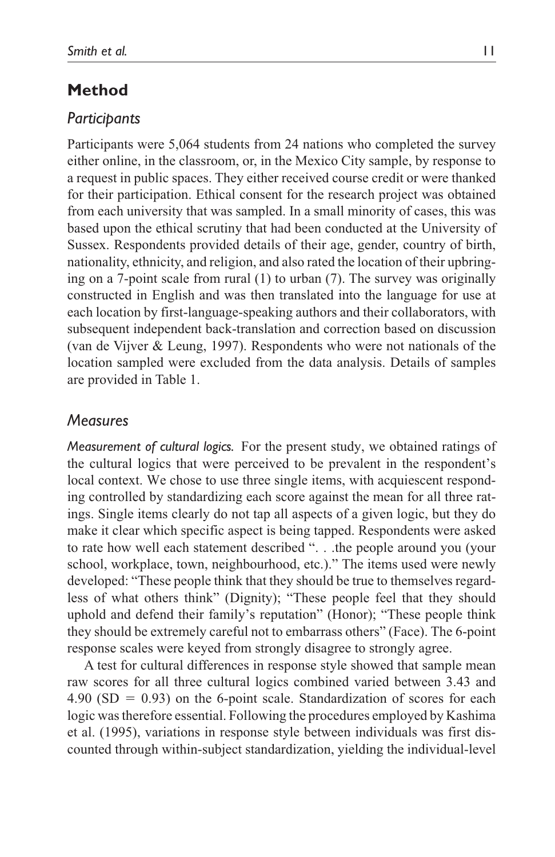# **Method**

#### *Participants*

Participants were 5,064 students from 24 nations who completed the survey either online, in the classroom, or, in the Mexico City sample, by response to a request in public spaces. They either received course credit or were thanked for their participation. Ethical consent for the research project was obtained from each university that was sampled. In a small minority of cases, this was based upon the ethical scrutiny that had been conducted at the University of Sussex. Respondents provided details of their age, gender, country of birth, nationality, ethnicity, and religion, and also rated the location of their upbringing on a 7-point scale from rural (1) to urban (7). The survey was originally constructed in English and was then translated into the language for use at each location by first-language-speaking authors and their collaborators, with subsequent independent back-translation and correction based on discussion (van de Vijver & Leung, 1997). Respondents who were not nationals of the location sampled were excluded from the data analysis. Details of samples are provided in Table 1.

#### *Measures*

*Measurement of cultural logics.* For the present study, we obtained ratings of the cultural logics that were perceived to be prevalent in the respondent's local context. We chose to use three single items, with acquiescent responding controlled by standardizing each score against the mean for all three ratings. Single items clearly do not tap all aspects of a given logic, but they do make it clear which specific aspect is being tapped. Respondents were asked to rate how well each statement described ". . .the people around you (your school, workplace, town, neighbourhood, etc.)." The items used were newly developed: "These people think that they should be true to themselves regardless of what others think" (Dignity); "These people feel that they should uphold and defend their family's reputation" (Honor); "These people think they should be extremely careful not to embarrass others" (Face). The 6-point response scales were keyed from strongly disagree to strongly agree.

A test for cultural differences in response style showed that sample mean raw scores for all three cultural logics combined varied between 3.43 and  $4.90$  (SD = 0.93) on the 6-point scale. Standardization of scores for each logic was therefore essential. Following the procedures employed by Kashima et al. (1995), variations in response style between individuals was first discounted through within-subject standardization, yielding the individual-level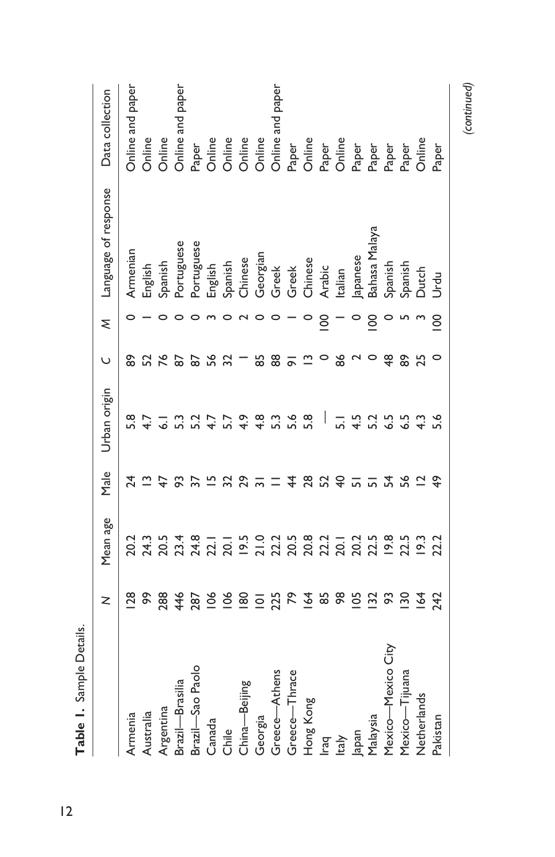|                    | z                  | Mean age       | Male | Urban origin     | ں         | ξ | Language of response          | Data collection                                                   |
|--------------------|--------------------|----------------|------|------------------|-----------|---|-------------------------------|-------------------------------------------------------------------|
| Armenia            | $\frac{8}{2}$      |                | 24   | 5.8              | စ္စ       |   | Armenian                      | Online and paper                                                  |
| Australia          | နွ                 |                |      |                  |           |   | English                       | Online                                                            |
| Argentina          | 288                |                |      |                  |           |   | Spanish                       | Online                                                            |
| Brazil-Brasilia    | 446                |                |      |                  |           |   | Portuguese                    | Online and paper                                                  |
| Brazil-Sao Paolo   | 287                |                |      |                  |           |   | Portuguese                    |                                                                   |
| Canada             | $\leq$             |                |      |                  |           |   |                               | Paper<br>Online<br>Online<br>Online<br>Online<br>Online and paper |
| Chile              | ँ                  |                |      |                  |           |   |                               |                                                                   |
| China-Beijing      | $\frac{80}{2}$     | 20.1           |      |                  |           |   | English<br>Spanish<br>Chinese |                                                                   |
| Georgia            | $\overline{\circ}$ |                |      | $4.\overline{8}$ |           |   |                               |                                                                   |
| Greece-Athens      | 225                |                |      |                  | <u>ထွ</u> |   |                               |                                                                   |
| Greece-Thrace      | ድ                  |                |      |                  |           |   | Georgian<br>Greek<br>Greek    |                                                                   |
| Hong Kong          | 2                  |                | జ    | 5.8              |           |   | Chinese                       | Paper<br>Online<br>Online<br>Chaper<br>Paper<br>Paper<br>Online   |
| raq                | 85                 |                |      |                  |           | 8 | Arabic                        |                                                                   |
| taly               |                    |                |      |                  |           |   | Italian                       |                                                                   |
| Japan              | ర                  |                |      |                  |           |   | lapanese                      |                                                                   |
| Malaysia           | $\frac{5}{2}$      |                |      |                  |           |   | Bahasa Malaya                 |                                                                   |
| Mexico-Mexico City | ႙                  | $19.8$<br>22.5 | ヹ    |                  | \$        |   | Spanish                       |                                                                   |
| Mexico-Tijuana     | వ్గ                |                | ್ಲಿ  |                  | န္တ       |   | Spanish                       |                                                                   |
| Netherlands        | 2                  | $\frac{2}{2}$  |      |                  | 25        |   | Dutch                         |                                                                   |
| Pakistan           | <b>242</b>         | 22.2           |      |                  |           | 8 | ಕ<br>ಗ                        | Paper                                                             |

*(continued)*

**Table 1.** Sample Details.

Table 1. Sample Details.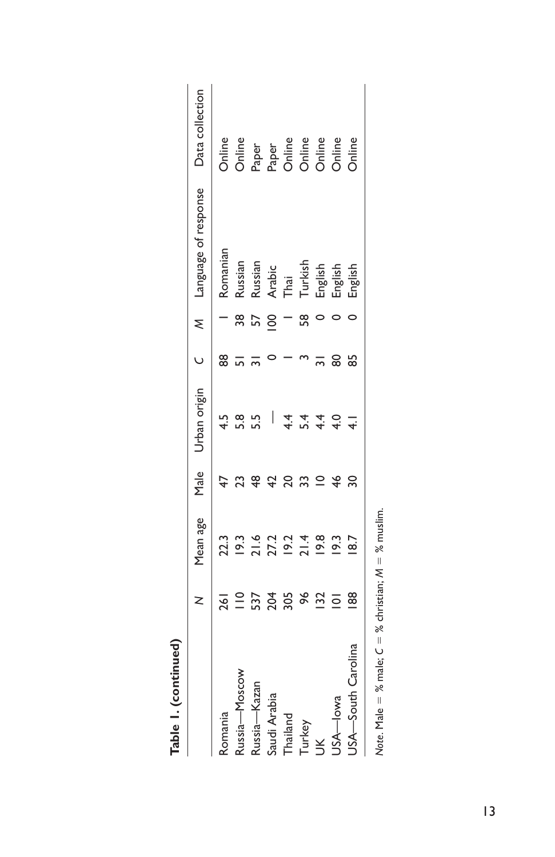| Table I. (continued)                                    |                    |               |               |              |    |    |                                          |                                                  |
|---------------------------------------------------------|--------------------|---------------|---------------|--------------|----|----|------------------------------------------|--------------------------------------------------|
|                                                         | z                  | Mean age      | Male          | Urban origin |    | ₹  | Language of response                     | Data collection                                  |
| Romania                                                 | 261                | 22.3          |               | 4.5          | 88 |    | Romanian                                 | Online                                           |
| Russia-Moscow                                           | $\frac{1}{1}$      | 19.3          |               | 5.8          |    | 38 | Russian                                  | <b>Online</b>                                    |
| Russia-Kazan                                            |                    |               | \$            | 5.5          |    |    | Russian                                  |                                                  |
| Saudi Arabia                                            | 537<br>204         |               |               |              |    |    |                                          |                                                  |
| Thailand                                                | 305                |               |               | 4.4          |    |    | Arabic<br>Thai                           |                                                  |
| Turkey                                                  | 96                 |               | 33            | 5.4          |    |    |                                          | Paper<br>Paper<br>O O O O O O O<br>O O O O O O O |
| $\breve{\preceq}$                                       | 32                 |               | $\subseteq$   | $\ddot{4}$   |    |    |                                          |                                                  |
| USA-lowa                                                | $\overline{\circ}$ | $\frac{2}{3}$ | $\frac{4}{6}$ | 4.0          | 8  |    |                                          |                                                  |
| USA-South Carolina                                      | $\frac{88}{2}$     | 18.7          | ຂ             |              | 55 |    | Turkish<br>English<br>English<br>English |                                                  |
| Note. Male = % male; $C =$ % christian; $M =$ % muslim. |                    |               |               |              |    |    |                                          |                                                  |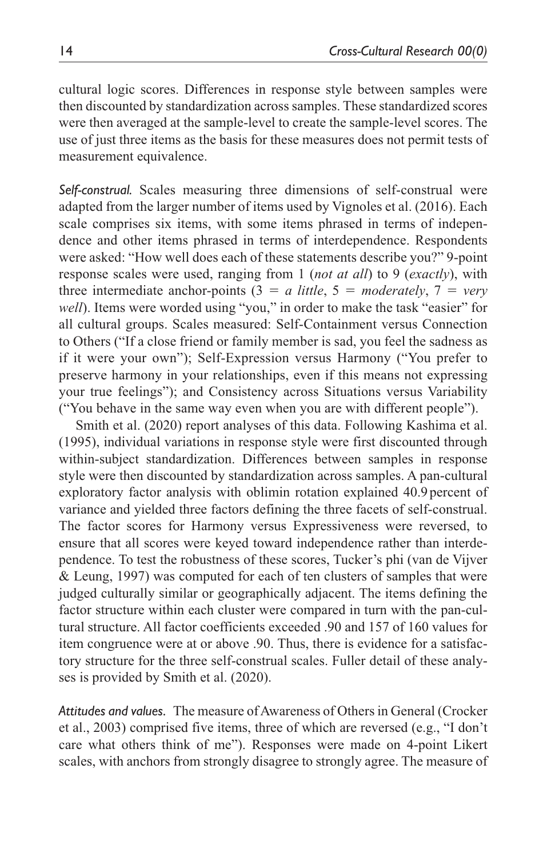cultural logic scores. Differences in response style between samples were then discounted by standardization across samples. These standardized scores were then averaged at the sample-level to create the sample-level scores. The use of just three items as the basis for these measures does not permit tests of measurement equivalence.

*Self-construal.* Scales measuring three dimensions of self-construal were adapted from the larger number of items used by Vignoles et al. (2016). Each scale comprises six items, with some items phrased in terms of independence and other items phrased in terms of interdependence. Respondents were asked: "How well does each of these statements describe you?" 9-point response scales were used, ranging from 1 (*not at all*) to 9 (*exactly*), with three intermediate anchor-points  $(3 = a$  *little*,  $5 =$  *moderately*,  $7 =$  *very well*). Items were worded using "you," in order to make the task "easier" for all cultural groups. Scales measured: Self-Containment versus Connection to Others ("If a close friend or family member is sad, you feel the sadness as if it were your own"); Self-Expression versus Harmony ("You prefer to preserve harmony in your relationships, even if this means not expressing your true feelings"); and Consistency across Situations versus Variability ("You behave in the same way even when you are with different people").

Smith et al. (2020) report analyses of this data. Following Kashima et al. (1995), individual variations in response style were first discounted through within-subject standardization. Differences between samples in response style were then discounted by standardization across samples. A pan-cultural exploratory factor analysis with oblimin rotation explained 40.9 percent of variance and yielded three factors defining the three facets of self-construal. The factor scores for Harmony versus Expressiveness were reversed, to ensure that all scores were keyed toward independence rather than interdependence. To test the robustness of these scores, Tucker's phi (van de Vijver & Leung, 1997) was computed for each of ten clusters of samples that were judged culturally similar or geographically adjacent. The items defining the factor structure within each cluster were compared in turn with the pan-cultural structure. All factor coefficients exceeded .90 and 157 of 160 values for item congruence were at or above .90. Thus, there is evidence for a satisfactory structure for the three self-construal scales. Fuller detail of these analyses is provided by Smith et al. (2020).

*Attitudes and values.* The measure of Awareness of Others in General (Crocker et al., 2003) comprised five items, three of which are reversed (e.g., "I don't care what others think of me"). Responses were made on 4-point Likert scales, with anchors from strongly disagree to strongly agree. The measure of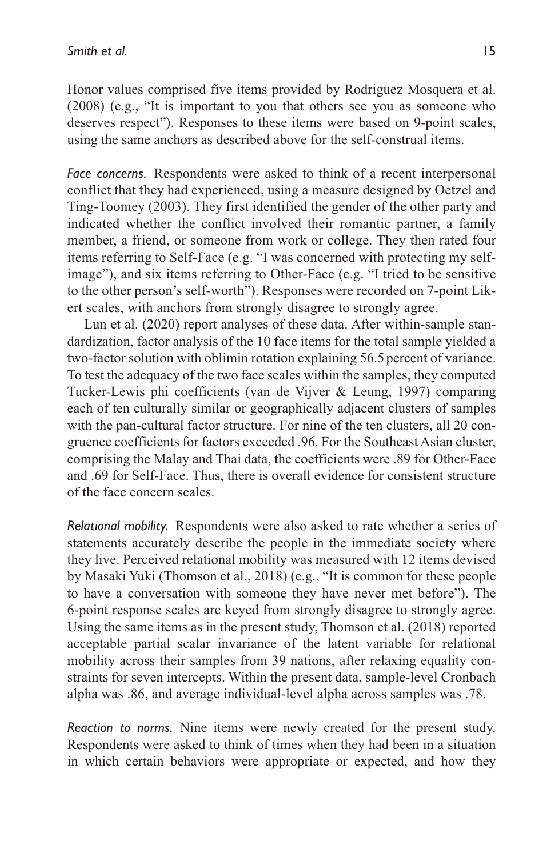Honor values comprised five items provided by Rodriguez Mosquera et al. (2008) (e.g., "It is important to you that others see you as someone who deserves respect"). Responses to these items were based on 9-point scales, using the same anchors as described above for the self-construal items.

*Face concerns.* Respondents were asked to think of a recent interpersonal conflict that they had experienced, using a measure designed by Oetzel and Ting-Toomey (2003). They first identified the gender of the other party and indicated whether the conflict involved their romantic partner, a family member, a friend, or someone from work or college. They then rated four items referring to Self-Face (e.g. "I was concerned with protecting my selfimage"), and six items referring to Other-Face (e.g. "I tried to be sensitive to the other person's self-worth"). Responses were recorded on 7-point Likert scales, with anchors from strongly disagree to strongly agree.

Lun et al. (2020) report analyses of these data. After within-sample standardization, factor analysis of the 10 face items for the total sample yielded a two-factor solution with oblimin rotation explaining 56.5percent of variance. To test the adequacy of the two face scales within the samples, they computed Tucker-Lewis phi coefficients (van de Vijver & Leung, 1997) comparing each of ten culturally similar or geographically adjacent clusters of samples with the pan-cultural factor structure. For nine of the ten clusters, all 20 congruence coefficients for factors exceeded .96. For the Southeast Asian cluster, comprising the Malay and Thai data, the coefficients were .89 for Other-Face and .69 for Self-Face. Thus, there is overall evidence for consistent structure of the face concern scales.

*Relational mobility.* Respondents were also asked to rate whether a series of statements accurately describe the people in the immediate society where they live. Perceived relational mobility was measured with 12 items devised by Masaki Yuki (Thomson et al., 2018) (e.g., "It is common for these people to have a conversation with someone they have never met before"). The 6-point response scales are keyed from strongly disagree to strongly agree. Using the same items as in the present study, Thomson et al. (2018) reported acceptable partial scalar invariance of the latent variable for relational mobility across their samples from 39 nations, after relaxing equality constraints for seven intercepts. Within the present data, sample-level Cronbach alpha was .86, and average individual-level alpha across samples was .78.

*Reaction to norms.* Nine items were newly created for the present study. Respondents were asked to think of times when they had been in a situation in which certain behaviors were appropriate or expected, and how they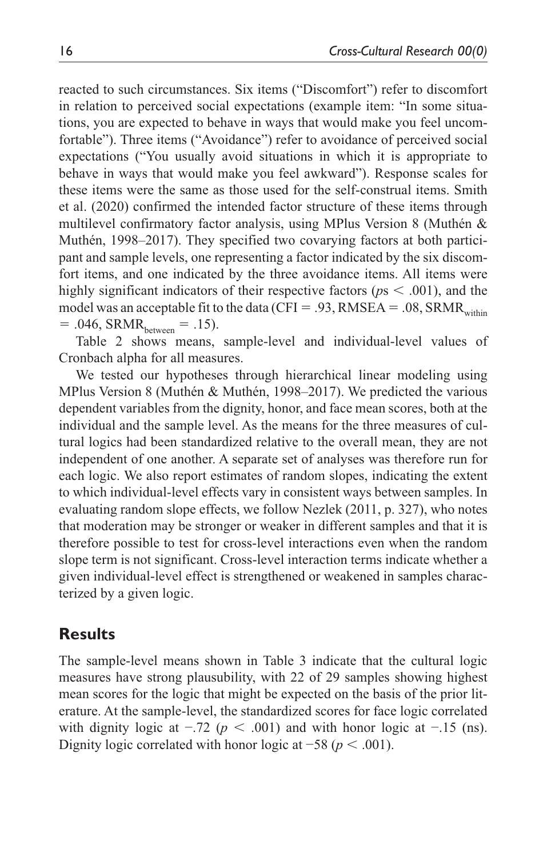reacted to such circumstances. Six items ("Discomfort") refer to discomfort in relation to perceived social expectations (example item: "In some situations, you are expected to behave in ways that would make you feel uncomfortable"). Three items ("Avoidance") refer to avoidance of perceived social expectations ("You usually avoid situations in which it is appropriate to behave in ways that would make you feel awkward"). Response scales for these items were the same as those used for the self-construal items. Smith et al. (2020) confirmed the intended factor structure of these items through multilevel confirmatory factor analysis, using MPlus Version 8 (Muthén & Muthén, 1998–2017). They specified two covarying factors at both participant and sample levels, one representing a factor indicated by the six discomfort items, and one indicated by the three avoidance items. All items were highly significant indicators of their respective factors (*p*s < .001), and the model was an acceptable fit to the data (CFI = .93, RMSEA = .08, SRMR<sub>within</sub>  $= .046$ , SRMR<sub>between</sub>  $= .15$ ).

Table 2 shows means, sample-level and individual-level values of Cronbach alpha for all measures.

We tested our hypotheses through hierarchical linear modeling using MPlus Version 8 (Muthén & Muthén, 1998–2017). We predicted the various dependent variables from the dignity, honor, and face mean scores, both at the individual and the sample level. As the means for the three measures of cultural logics had been standardized relative to the overall mean, they are not independent of one another. A separate set of analyses was therefore run for each logic. We also report estimates of random slopes, indicating the extent to which individual-level effects vary in consistent ways between samples. In evaluating random slope effects, we follow Nezlek (2011, p. 327), who notes that moderation may be stronger or weaker in different samples and that it is therefore possible to test for cross-level interactions even when the random slope term is not significant. Cross-level interaction terms indicate whether a given individual-level effect is strengthened or weakened in samples characterized by a given logic.

#### **Results**

The sample-level means shown in Table 3 indicate that the cultural logic measures have strong plausubility, with 22 of 29 samples showing highest mean scores for the logic that might be expected on the basis of the prior literature. At the sample-level, the standardized scores for face logic correlated with dignity logic at  $-0.72$  ( $p < 0.001$ ) and with honor logic at  $-0.15$  (ns). Dignity logic correlated with honor logic at  $-58$  ( $p < .001$ ).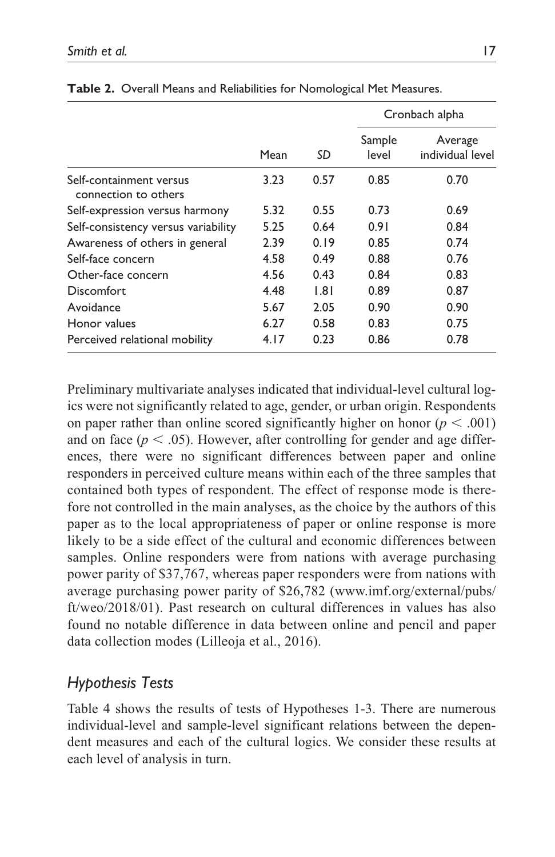|                                                 |      |                   |                 | Cronbach alpha              |
|-------------------------------------------------|------|-------------------|-----------------|-----------------------------|
|                                                 | Mean | SD                | Sample<br>level | Average<br>individual level |
| Self-containment versus<br>connection to others | 3.23 | 0.57              | 0.85            | 0.70                        |
| Self-expression versus harmony                  | 5.32 | 0.55              | 0.73            | 0.69                        |
| Self-consistency versus variability             | 5.25 | 0.64              | 0.91            | 0.84                        |
| Awareness of others in general                  | 2.39 | 0.19              | 0.85            | 0.74                        |
| Self-face concern                               | 4.58 | 0.49              | 0.88            | 0.76                        |
| Other-face concern                              | 4.56 | 0.43              | 0.84            | 0.83                        |
| Discomfort.                                     | 4.48 | $\overline{1.81}$ | 0.89            | 0.87                        |
| Avoidance                                       | 5.67 | 2.05              | 0.90            | 0.90                        |
| Honor values                                    | 6.27 | 0.58              | 0.83            | 0.75                        |
| Perceived relational mobility                   | 4.17 | 0.23              | 0.86            | 0.78                        |

**Table 2.** Overall Means and Reliabilities for Nomological Met Measures.

Preliminary multivariate analyses indicated that individual-level cultural logics were not significantly related to age, gender, or urban origin. Respondents on paper rather than online scored significantly higher on honor ( $p < .001$ ) and on face  $(p < .05)$ . However, after controlling for gender and age differences, there were no significant differences between paper and online responders in perceived culture means within each of the three samples that contained both types of respondent. The effect of response mode is therefore not controlled in the main analyses, as the choice by the authors of this paper as to the local appropriateness of paper or online response is more likely to be a side effect of the cultural and economic differences between samples. Online responders were from nations with average purchasing power parity of \$37,767, whereas paper responders were from nations with average purchasing power parity of \$26,782 ([www.imf.org/external/pubs/](http://www.imf.org/external/pubs/ft/weo/2018/01) [ft/weo/2018/01\)](http://www.imf.org/external/pubs/ft/weo/2018/01). Past research on cultural differences in values has also found no notable difference in data between online and pencil and paper data collection modes (Lilleoja et al., 2016).

# *Hypothesis Tests*

Table 4 shows the results of tests of Hypotheses 1-3. There are numerous individual-level and sample-level significant relations between the dependent measures and each of the cultural logics. We consider these results at each level of analysis in turn.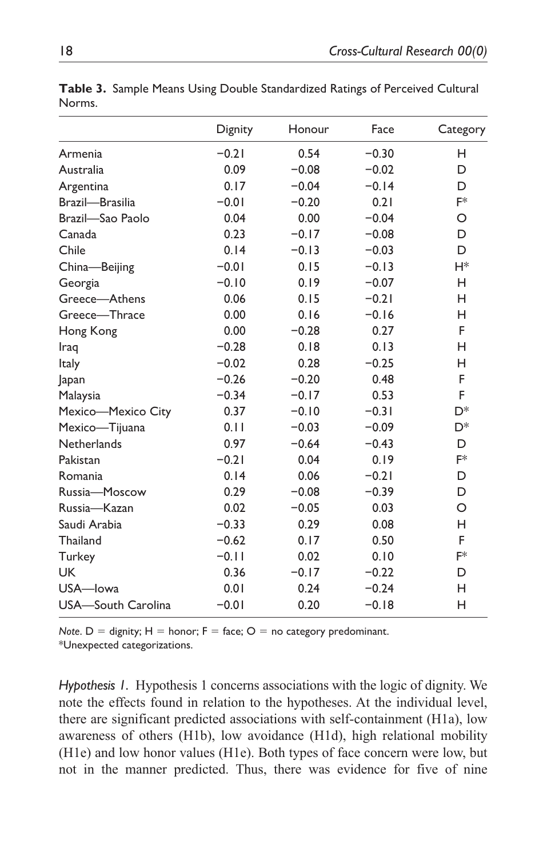|                    | Dignity | Honour  | Face    | Category       |
|--------------------|---------|---------|---------|----------------|
| Armenia            | $-0.21$ | 0.54    | $-0.30$ | н              |
| Australia          | 0.09    | $-0.08$ | $-0.02$ | D              |
| Argentina          | 0.17    | $-0.04$ | $-0.14$ | D              |
| Brazil-Brasilia    | $-0.01$ | $-0.20$ | 0.21    | F*             |
| Brazil-Sao Paolo   | 0.04    | 0.00    | $-0.04$ | O              |
| Canada             | 0.23    | $-0.17$ | $-0.08$ | D              |
| Chile              | 0.14    | $-0.13$ | $-0.03$ | D              |
| China-Beijing      | $-0.01$ | 0.15    | $-0.13$ | H*             |
| Georgia            | $-0.10$ | 0.19    | $-0.07$ | н              |
| Greece-Athens      | 0.06    | 0.15    | $-0.21$ | н              |
| Greece-Thrace      | 0.00    | 0.16    | $-0.16$ | н              |
| Hong Kong          | 0.00    | $-0.28$ | 0.27    | F              |
| Iraq               | $-0.28$ | 0.18    | 0.13    | н              |
| Italy              | $-0.02$ | 0.28    | $-0.25$ | н              |
| Japan              | $-0.26$ | $-0.20$ | 0.48    | F              |
| Malaysia           | $-0.34$ | $-0.17$ | 0.53    | F              |
| Mexico-Mexico City | 0.37    | $-0.10$ | $-0.31$ | D <sup>*</sup> |
| Mexico-Tijuana     | 0.11    | $-0.03$ | $-0.09$ | D*             |
| Netherlands        | 0.97    | $-0.64$ | $-0.43$ | D              |
| Pakistan           | $-0.21$ | 0.04    | 0.19    | F*             |
| Romania            | 0.14    | 0.06    | $-0.21$ | D              |
| Russia-Moscow      | 0.29    | $-0.08$ | $-0.39$ | D              |
| Russia-Kazan       | 0.02    | $-0.05$ | 0.03    | $\Omega$       |
| Saudi Arabia       | $-0.33$ | 0.29    | 0.08    | н              |
| Thailand           | $-0.62$ | 0.17    | 0.50    | F              |
| Turkey             | $-0.11$ | 0.02    | 0.10    | F*             |
| UK.                | 0.36    | $-0.17$ | $-0.22$ | D              |
| USA-lowa           | 0.01    | 0.24    | $-0.24$ | н              |
| USA-South Carolina | $-0.01$ | 0.20    | $-0.18$ | н              |

**Table 3.** Sample Means Using Double Standardized Ratings of Perceived Cultural Norms.

*Note*.  $D =$  dignity;  $H =$  honor;  $F =$  face;  $O =$  no category predominant.

\*Unexpected categorizations.

*Hypothesis 1.* Hypothesis 1 concerns associations with the logic of dignity. We note the effects found in relation to the hypotheses. At the individual level, there are significant predicted associations with self-containment (H1a), low awareness of others (H1b), low avoidance (H1d), high relational mobility (H1e) and low honor values (H1e). Both types of face concern were low, but not in the manner predicted. Thus, there was evidence for five of nine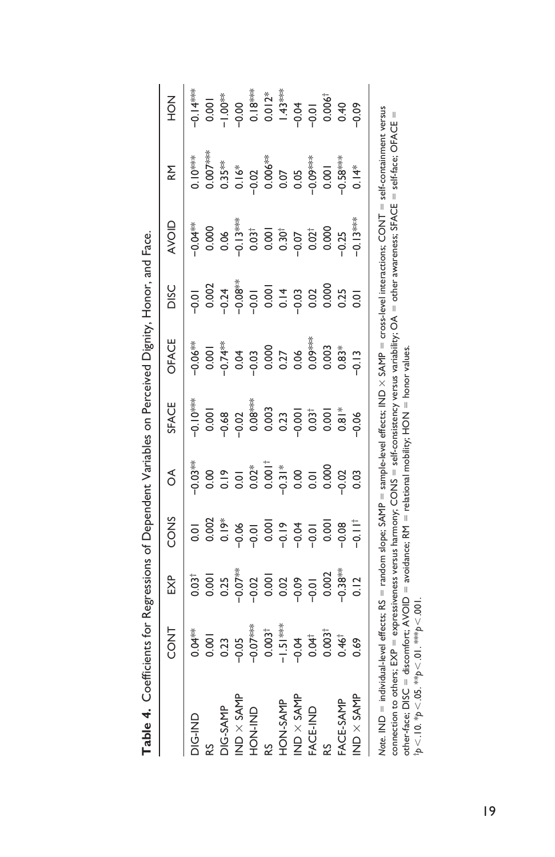| Table 4. Coefficients for Regressions of Dependent Variables on Perceived Dignity, Honor, and Face.                                                                                                                                                                                                                                                                                                                                                                                                                                                     |                   |                  |                            |                |                   |               |                       |                  |            |                                     |
|---------------------------------------------------------------------------------------------------------------------------------------------------------------------------------------------------------------------------------------------------------------------------------------------------------------------------------------------------------------------------------------------------------------------------------------------------------------------------------------------------------------------------------------------------------|-------------------|------------------|----------------------------|----------------|-------------------|---------------|-----------------------|------------------|------------|-------------------------------------|
|                                                                                                                                                                                                                                                                                                                                                                                                                                                                                                                                                         | <b>CONT</b>       | EXP              | CONS                       | δ              | SFACE             | OFACE         | DISC                  | <b>AVOID</b>     | <b>M</b>   | NO <sub>H</sub>                     |
| DIG-IND                                                                                                                                                                                                                                                                                                                                                                                                                                                                                                                                                 | $0.04**$          | $0.03^{\dagger}$ | ō                          | $-0.03**$      | ***O<br>-0.10-    | $-0.06***$    | $\overline{5}$        | $-0.04**$        | $0.10***$  | $0.14***$                           |
| 53                                                                                                                                                                                                                                                                                                                                                                                                                                                                                                                                                      | 0.001             | 0.001            | 0.002                      | 0.00           | 0.001             | 0.001         | 0.002                 | 0.000            | $0.007***$ | 0.001                               |
| DIG-SAMP                                                                                                                                                                                                                                                                                                                                                                                                                                                                                                                                                | 0.23              | 0.25             | $rac{8}{0}$<br>$rac{8}{0}$ | 0.01           | 0.68              | $-0.74***$    | $-0.24$<br>$-0.08***$ | 0.06             | $0.35***$  | $1.00*$                             |
| IND $\times$ SAMP                                                                                                                                                                                                                                                                                                                                                                                                                                                                                                                                       | $-0.05$           | $-0.07***$       |                            |                | $-0.02$           | 0.04          |                       | $-0.13***$       |            | $-0.00$                             |
| <b>ON-NOH</b>                                                                                                                                                                                                                                                                                                                                                                                                                                                                                                                                           | $-0.07***$        | $-0.02$          | $-0.01$                    |                | 0.08              | $-0.03$       |                       | $0.03^{\dagger}$ | 0.02       |                                     |
| 53                                                                                                                                                                                                                                                                                                                                                                                                                                                                                                                                                      | $0.003^{\dagger}$ |                  |                            | $0.02*$        | 0.003             | 0.000         |                       | 0.001            | $0.006***$ | $\frac{0.18***}{0.012*}$<br>1.43*** |
| HON-SAMP                                                                                                                                                                                                                                                                                                                                                                                                                                                                                                                                                | $-1.51***$        | 0.001            | $0.001$<br>$-0.04$         | $rac{8}{1000}$ | 0.23              | 0.27          |                       |                  | 0.07       |                                     |
| IND $\times$ SAMP                                                                                                                                                                                                                                                                                                                                                                                                                                                                                                                                       | $-0.04$           | $-0.09$          |                            |                | $-0.001$          | 0.06          |                       |                  | 0.05       | $-0.04$                             |
| FACE-IND                                                                                                                                                                                                                                                                                                                                                                                                                                                                                                                                                | 0.04              | $-0.01$          | $-0.01$                    |                | 0.03 <sup>†</sup> | $0.09***$     | 0.02                  | $-0.07$          |            | $-0.01$<br>0.006 <sup>†</sup>       |
| RS                                                                                                                                                                                                                                                                                                                                                                                                                                                                                                                                                      | $0.003^{\dagger}$ | 0.002            | 0.00                       | 0.000          | 0.00              | 0.003         | 0.000                 | 0.000            | 0.001      |                                     |
| FACE-SAMP                                                                                                                                                                                                                                                                                                                                                                                                                                                                                                                                               | $0.46^{\dagger}$  | $0.38***$        | $-0.08$                    | $-0.02$        | $0.81*$           | $0.83*$       | 0.25                  | $-0.25$          | $0.58***$  | 0.40                                |
| IND $\times$ SAMP                                                                                                                                                                                                                                                                                                                                                                                                                                                                                                                                       | 0.69              | 0.12             | $-0.11^+$                  | 0.03           | $-0.06$           | $\frac{3}{2}$ | οs                    | $-0.13***$       | $0.14*$    | $-0.09$                             |
| Note. IND = individual-level effects; RS = random slope; SAMP = sample-level effects; IND × SAMP = cross-level interactions; CONT = self-containment versus<br>connection to others; EXP = expressiveness versus harmony; CONS = self-consistency versus variability; OA = other awareness; SFACE = self-face; OFACE =<br>other-face; DISC = discomfort; AVOID = avoidance; RM = relational mobility; HON = honor values.<br>$\tau_{\rm p}$ $<$ $10 \cdot \nu_{\rm p}$ $<$ $05 \cdot \nu_{\rm p}$ $<$ $01 \cdot \nu_{\rm s}$ $>$ $00 \cdot \nu_{\rm s}$ |                   |                  |                            |                |                   |               |                       |                  |            |                                     |

| I<br>I<br>l<br>I<br>l<br>I<br>l<br>l |
|--------------------------------------|
|                                      |
|                                      |
|                                      |
|                                      |
|                                      |
|                                      |
|                                      |
|                                      |
| l                                    |
| l                                    |
|                                      |
|                                      |
|                                      |
| l                                    |

19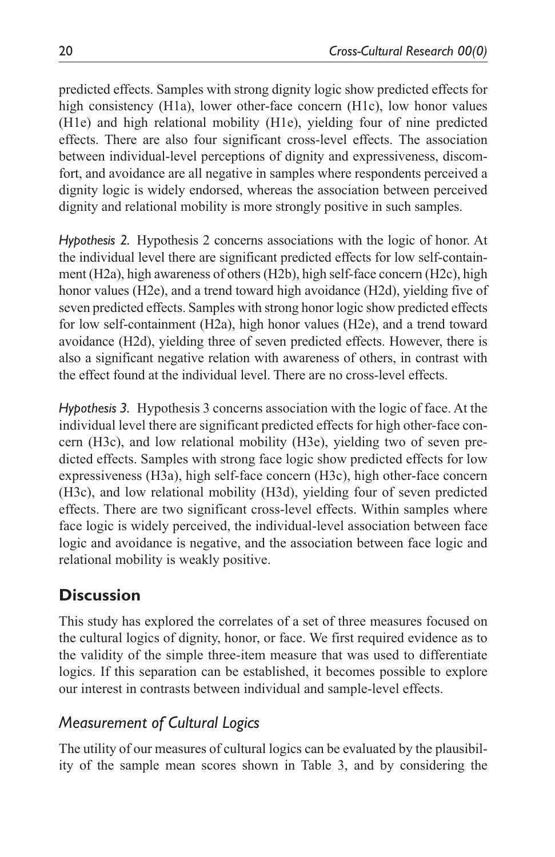predicted effects. Samples with strong dignity logic show predicted effects for high consistency (H1a), lower other-face concern (H1c), low honor values (H1e) and high relational mobility (H1e), yielding four of nine predicted effects. There are also four significant cross-level effects. The association between individual-level perceptions of dignity and expressiveness, discomfort, and avoidance are all negative in samples where respondents perceived a dignity logic is widely endorsed, whereas the association between perceived dignity and relational mobility is more strongly positive in such samples.

*Hypothesis 2.* Hypothesis 2 concerns associations with the logic of honor. At the individual level there are significant predicted effects for low self-containment (H2a), high awareness of others (H2b), high self-face concern (H2c), high honor values (H2e), and a trend toward high avoidance (H2d), yielding five of seven predicted effects. Samples with strong honor logic show predicted effects for low self-containment (H2a), high honor values (H2e), and a trend toward avoidance (H2d), yielding three of seven predicted effects. However, there is also a significant negative relation with awareness of others, in contrast with the effect found at the individual level. There are no cross-level effects.

*Hypothesis 3.* Hypothesis 3 concerns association with the logic of face. At the individual level there are significant predicted effects for high other-face concern (H3c), and low relational mobility (H3e), yielding two of seven predicted effects. Samples with strong face logic show predicted effects for low expressiveness (H3a), high self-face concern (H3c), high other-face concern (H3c), and low relational mobility (H3d), yielding four of seven predicted effects. There are two significant cross-level effects. Within samples where face logic is widely perceived, the individual-level association between face logic and avoidance is negative, and the association between face logic and relational mobility is weakly positive.

# **Discussion**

This study has explored the correlates of a set of three measures focused on the cultural logics of dignity, honor, or face. We first required evidence as to the validity of the simple three-item measure that was used to differentiate logics. If this separation can be established, it becomes possible to explore our interest in contrasts between individual and sample-level effects.

# *Measurement of Cultural Logics*

The utility of our measures of cultural logics can be evaluated by the plausibility of the sample mean scores shown in Table 3, and by considering the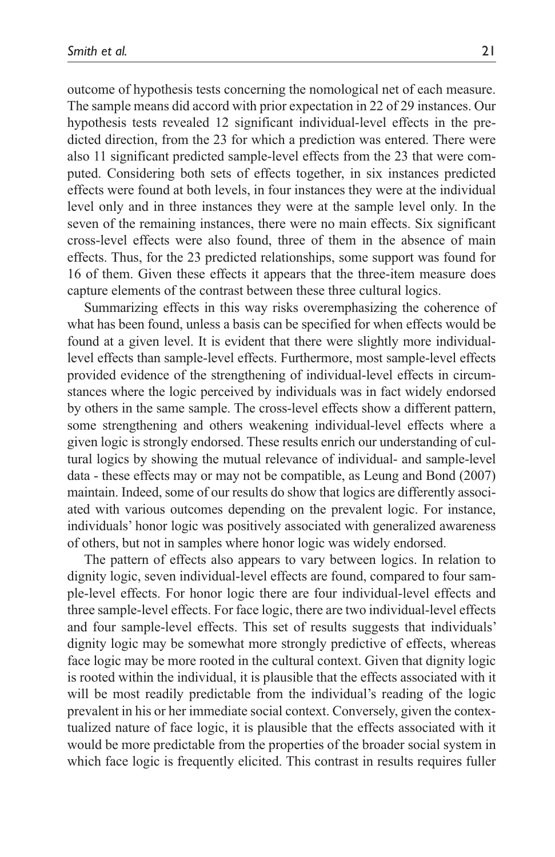outcome of hypothesis tests concerning the nomological net of each measure. The sample means did accord with prior expectation in 22 of 29 instances. Our hypothesis tests revealed 12 significant individual-level effects in the predicted direction, from the 23 for which a prediction was entered. There were also 11 significant predicted sample-level effects from the 23 that were computed. Considering both sets of effects together, in six instances predicted effects were found at both levels, in four instances they were at the individual level only and in three instances they were at the sample level only. In the seven of the remaining instances, there were no main effects. Six significant cross-level effects were also found, three of them in the absence of main effects. Thus, for the 23 predicted relationships, some support was found for 16 of them. Given these effects it appears that the three-item measure does capture elements of the contrast between these three cultural logics.

Summarizing effects in this way risks overemphasizing the coherence of what has been found, unless a basis can be specified for when effects would be found at a given level. It is evident that there were slightly more individuallevel effects than sample-level effects. Furthermore, most sample-level effects provided evidence of the strengthening of individual-level effects in circumstances where the logic perceived by individuals was in fact widely endorsed by others in the same sample. The cross-level effects show a different pattern, some strengthening and others weakening individual-level effects where a given logic is strongly endorsed. These results enrich our understanding of cultural logics by showing the mutual relevance of individual- and sample-level data - these effects may or may not be compatible, as Leung and Bond (2007) maintain. Indeed, some of our results do show that logics are differently associated with various outcomes depending on the prevalent logic. For instance, individuals' honor logic was positively associated with generalized awareness of others, but not in samples where honor logic was widely endorsed.

The pattern of effects also appears to vary between logics. In relation to dignity logic, seven individual-level effects are found, compared to four sample-level effects. For honor logic there are four individual-level effects and three sample-level effects. For face logic, there are two individual-level effects and four sample-level effects. This set of results suggests that individuals' dignity logic may be somewhat more strongly predictive of effects, whereas face logic may be more rooted in the cultural context. Given that dignity logic is rooted within the individual, it is plausible that the effects associated with it will be most readily predictable from the individual's reading of the logic prevalent in his or her immediate social context. Conversely, given the contextualized nature of face logic, it is plausible that the effects associated with it would be more predictable from the properties of the broader social system in which face logic is frequently elicited. This contrast in results requires fuller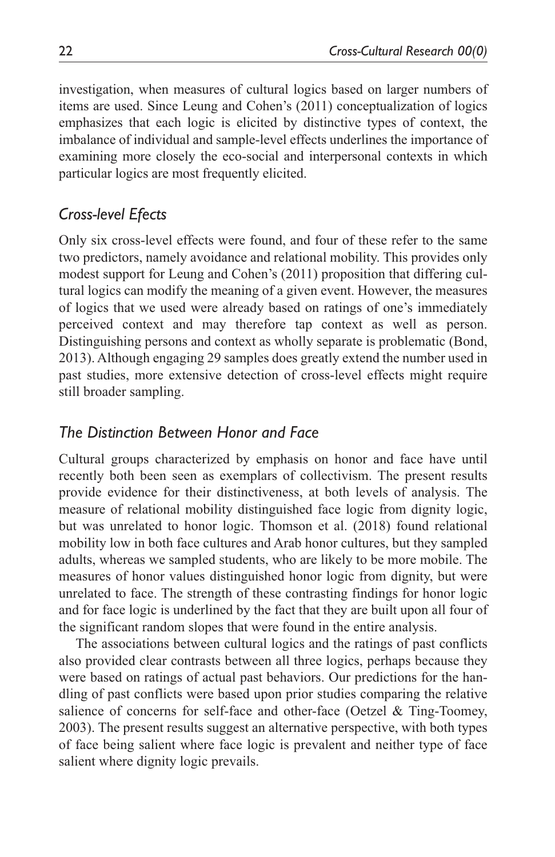investigation, when measures of cultural logics based on larger numbers of items are used. Since Leung and Cohen's (2011) conceptualization of logics emphasizes that each logic is elicited by distinctive types of context, the imbalance of individual and sample-level effects underlines the importance of examining more closely the eco-social and interpersonal contexts in which particular logics are most frequently elicited.

# *Cross-level Efects*

Only six cross-level effects were found, and four of these refer to the same two predictors, namely avoidance and relational mobility. This provides only modest support for Leung and Cohen's (2011) proposition that differing cultural logics can modify the meaning of a given event. However, the measures of logics that we used were already based on ratings of one's immediately perceived context and may therefore tap context as well as person. Distinguishing persons and context as wholly separate is problematic (Bond, 2013). Although engaging 29 samples does greatly extend the number used in past studies, more extensive detection of cross-level effects might require still broader sampling.

## *The Distinction Between Honor and Face*

Cultural groups characterized by emphasis on honor and face have until recently both been seen as exemplars of collectivism. The present results provide evidence for their distinctiveness, at both levels of analysis. The measure of relational mobility distinguished face logic from dignity logic, but was unrelated to honor logic. Thomson et al. (2018) found relational mobility low in both face cultures and Arab honor cultures, but they sampled adults, whereas we sampled students, who are likely to be more mobile. The measures of honor values distinguished honor logic from dignity, but were unrelated to face. The strength of these contrasting findings for honor logic and for face logic is underlined by the fact that they are built upon all four of the significant random slopes that were found in the entire analysis.

The associations between cultural logics and the ratings of past conflicts also provided clear contrasts between all three logics, perhaps because they were based on ratings of actual past behaviors. Our predictions for the handling of past conflicts were based upon prior studies comparing the relative salience of concerns for self-face and other-face (Oetzel & Ting-Toomey, 2003). The present results suggest an alternative perspective, with both types of face being salient where face logic is prevalent and neither type of face salient where dignity logic prevails.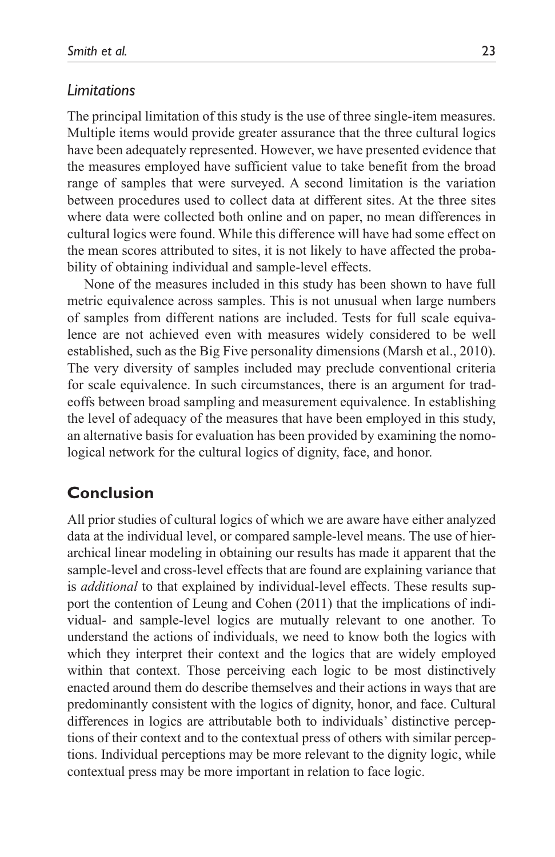#### *Limitations*

The principal limitation of this study is the use of three single-item measures. Multiple items would provide greater assurance that the three cultural logics have been adequately represented. However, we have presented evidence that the measures employed have sufficient value to take benefit from the broad range of samples that were surveyed. A second limitation is the variation between procedures used to collect data at different sites. At the three sites where data were collected both online and on paper, no mean differences in cultural logics were found. While this difference will have had some effect on the mean scores attributed to sites, it is not likely to have affected the probability of obtaining individual and sample-level effects.

None of the measures included in this study has been shown to have full metric equivalence across samples. This is not unusual when large numbers of samples from different nations are included. Tests for full scale equivalence are not achieved even with measures widely considered to be well established, such as the Big Five personality dimensions (Marsh et al., 2010). The very diversity of samples included may preclude conventional criteria for scale equivalence. In such circumstances, there is an argument for tradeoffs between broad sampling and measurement equivalence. In establishing the level of adequacy of the measures that have been employed in this study, an alternative basis for evaluation has been provided by examining the nomological network for the cultural logics of dignity, face, and honor.

#### **Conclusion**

All prior studies of cultural logics of which we are aware have either analyzed data at the individual level, or compared sample-level means. The use of hierarchical linear modeling in obtaining our results has made it apparent that the sample-level and cross-level effects that are found are explaining variance that is *additional* to that explained by individual-level effects. These results support the contention of Leung and Cohen (2011) that the implications of individual- and sample-level logics are mutually relevant to one another. To understand the actions of individuals, we need to know both the logics with which they interpret their context and the logics that are widely employed within that context. Those perceiving each logic to be most distinctively enacted around them do describe themselves and their actions in ways that are predominantly consistent with the logics of dignity, honor, and face. Cultural differences in logics are attributable both to individuals' distinctive perceptions of their context and to the contextual press of others with similar perceptions. Individual perceptions may be more relevant to the dignity logic, while contextual press may be more important in relation to face logic.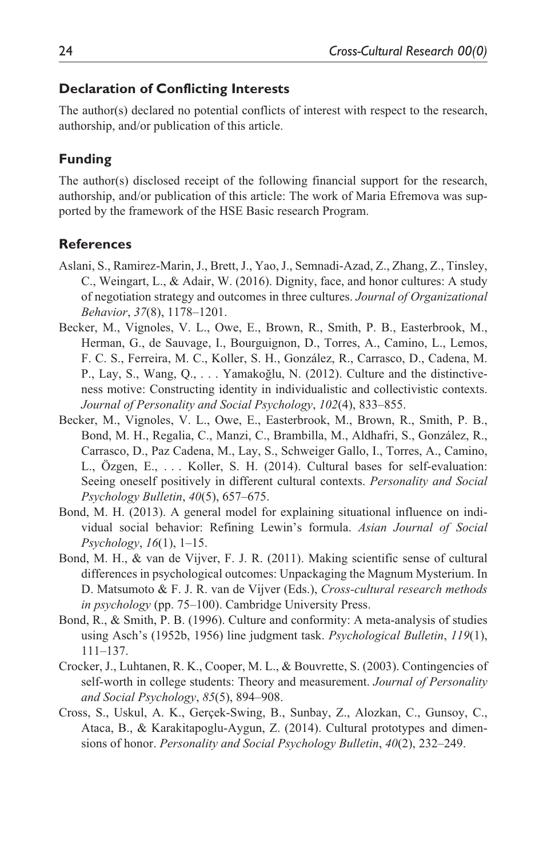#### **Declaration of Conflicting Interests**

The author(s) declared no potential conflicts of interest with respect to the research, authorship, and/or publication of this article.

#### **Funding**

The author(s) disclosed receipt of the following financial support for the research, authorship, and/or publication of this article: The work of Maria Efremova was supported by the framework of the HSE Basic research Program.

#### **References**

- Aslani, S., Ramirez-Marin, J., Brett, J., Yao, J., Semnadi-Azad, Z., Zhang, Z., Tinsley, C., Weingart, L., & Adair, W. (2016). Dignity, face, and honor cultures: A study of negotiation strategy and outcomes in three cultures. *Journal of Organizational Behavior*, *37*(8), 1178–1201.
- Becker, M., Vignoles, V. L., Owe, E., Brown, R., Smith, P. B., Easterbrook, M., Herman, G., de Sauvage, I., Bourguignon, D., Torres, A., Camino, L., Lemos, F. C. S., Ferreira, M. C., Koller, S. H., González, R., Carrasco, D., Cadena, M. P., Lay, S., Wang, Q., . . . Yamakoğlu, N. (2012). Culture and the distinctiveness motive: Constructing identity in individualistic and collectivistic contexts. *Journal of Personality and Social Psychology*, *102*(4), 833–855.
- Becker, M., Vignoles, V. L., Owe, E., Easterbrook, M., Brown, R., Smith, P. B., Bond, M. H., Regalia, C., Manzi, C., Brambilla, M., Aldhafri, S., González, R., Carrasco, D., Paz Cadena, M., Lay, S., Schweiger Gallo, I., Torres, A., Camino, L., Özgen, E., . . . Koller, S. H. (2014). Cultural bases for self-evaluation: Seeing oneself positively in different cultural contexts. *Personality and Social Psychology Bulletin*, *40*(5), 657–675.
- Bond, M. H. (2013). A general model for explaining situational influence on individual social behavior: Refining Lewin's formula. *Asian Journal of Social Psychology*, *16*(1), 1–15.
- Bond, M. H., & van de Vijver, F. J. R. (2011). Making scientific sense of cultural differences in psychological outcomes: Unpackaging the Magnum Mysterium. In D. Matsumoto & F. J. R. van de Vijver (Eds.), *Cross-cultural research methods in psychology* (pp. 75–100). Cambridge University Press.
- Bond, R., & Smith, P. B. (1996). Culture and conformity: A meta-analysis of studies using Asch's (1952b, 1956) line judgment task. *Psychological Bulletin*, *119*(1), 111–137.
- Crocker, J., Luhtanen, R. K., Cooper, M. L., & Bouvrette, S. (2003). Contingencies of self-worth in college students: Theory and measurement. *Journal of Personality and Social Psychology*, *85*(5), 894–908.
- Cross, S., Uskul, A. K., Gerçek-Swing, B., Sunbay, Z., Alozkan, C., Gunsoy, C., Ataca, B., & Karakitapoglu-Aygun, Z. (2014). Cultural prototypes and dimensions of honor. *Personality and Social Psychology Bulletin*, *40*(2), 232–249.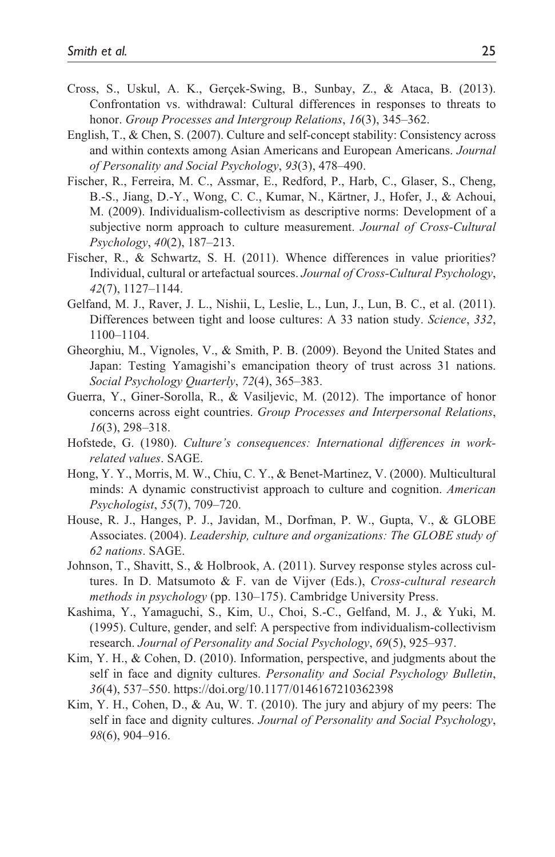- Cross, S., Uskul, A. K., Gerçek-Swing, B., Sunbay, Z., & Ataca, B. (2013). Confrontation vs. withdrawal: Cultural differences in responses to threats to honor. *Group Processes and Intergroup Relations*, *16*(3), 345–362.
- English, T., & Chen, S. (2007). Culture and self-concept stability: Consistency across and within contexts among Asian Americans and European Americans. *Journal of Personality and Social Psychology*, *93*(3), 478–490.
- Fischer, R., Ferreira, M. C., Assmar, E., Redford, P., Harb, C., Glaser, S., Cheng, B.-S., Jiang, D.-Y., Wong, C. C., Kumar, N., Kärtner, J., Hofer, J., & Achoui, M. (2009). Individualism-collectivism as descriptive norms: Development of a subjective norm approach to culture measurement. *Journal of Cross-Cultural Psychology*, *40*(2), 187–213.
- Fischer, R., & Schwartz, S. H. (2011). Whence differences in value priorities? Individual, cultural or artefactual sources. *Journal of Cross-Cultural Psychology*, *42*(7), 1127–1144.
- Gelfand, M. J., Raver, J. L., Nishii, L, Leslie, L., Lun, J., Lun, B. C., et al. (2011). Differences between tight and loose cultures: A 33 nation study. *Science*, *332*, 1100–1104.
- Gheorghiu, M., Vignoles, V., & Smith, P. B. (2009). Beyond the United States and Japan: Testing Yamagishi's emancipation theory of trust across 31 nations. *Social Psychology Quarterly*, *72*(4), 365–383.
- Guerra, Y., Giner-Sorolla, R., & Vasiljevic, M. (2012). The importance of honor concerns across eight countries. *Group Processes and Interpersonal Relations*, *16*(3), 298–318.
- Hofstede, G. (1980). *Culture's consequences: International differences in workrelated values*. SAGE.
- Hong, Y. Y., Morris, M. W., Chiu, C. Y., & Benet-Martinez, V. (2000). Multicultural minds: A dynamic constructivist approach to culture and cognition. *American Psychologist*, *55*(7), 709–720.
- House, R. J., Hanges, P. J., Javidan, M., Dorfman, P. W., Gupta, V., & GLOBE Associates. (2004). *Leadership, culture and organizations: The GLOBE study of 62 nations*. SAGE.
- Johnson, T., Shavitt, S., & Holbrook, A. (2011). Survey response styles across cultures. In D. Matsumoto & F. van de Vijver (Eds.), *Cross-cultural research methods in psychology* (pp. 130–175). Cambridge University Press.
- Kashima, Y., Yamaguchi, S., Kim, U., Choi, S.-C., Gelfand, M. J., & Yuki, M. (1995). Culture, gender, and self: A perspective from individualism-collectivism research. *Journal of Personality and Social Psychology*, *69*(5), 925–937.
- Kim, Y. H., & Cohen, D. (2010). Information, perspective, and judgments about the self in face and dignity cultures. *Personality and Social Psychology Bulletin*, *36*(4), 537–550. <https://doi.org/10.1177/0146167210362398>
- Kim, Y. H., Cohen, D., & Au, W. T. (2010). The jury and abjury of my peers: The self in face and dignity cultures. *Journal of Personality and Social Psychology*, *98*(6), 904–916.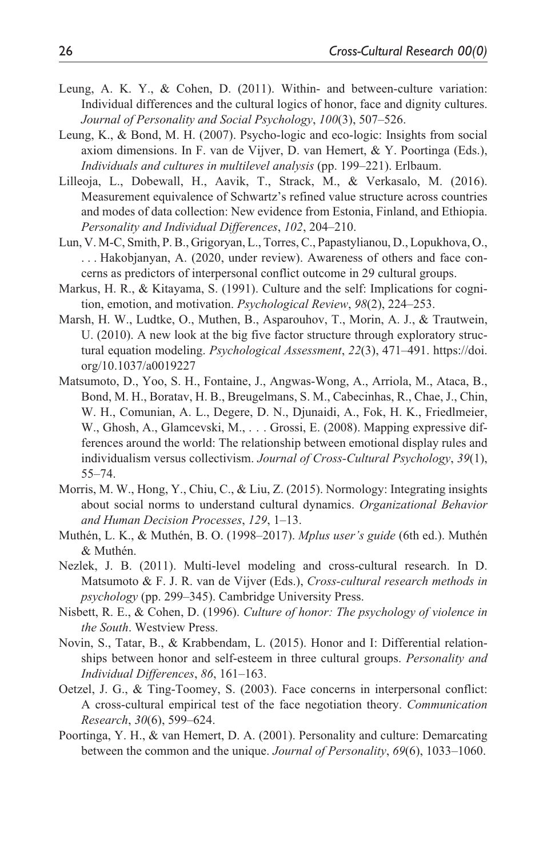- Leung, A. K. Y., & Cohen, D. (2011). Within- and between-culture variation: Individual differences and the cultural logics of honor, face and dignity cultures. *Journal of Personality and Social Psychology*, *100*(3), 507–526.
- Leung, K., & Bond, M. H. (2007). Psycho-logic and eco-logic: Insights from social axiom dimensions. In F. van de Vijver, D. van Hemert, & Y. Poortinga (Eds.), *Individuals and cultures in multilevel analysis* (pp. 199–221). Erlbaum.
- Lilleoja, L., Dobewall, H., Aavik, T., Strack, M., & Verkasalo, M. (2016). Measurement equivalence of Schwartz's refined value structure across countries and modes of data collection: New evidence from Estonia, Finland, and Ethiopia. *Personality and Individual Differences*, *102*, 204–210.
- Lun, V. M-C, Smith, P. B., Grigoryan, L., Torres, C., Papastylianou, D., Lopukhova, O., . . . Hakobjanyan, A. (2020, under review). Awareness of others and face concerns as predictors of interpersonal conflict outcome in 29 cultural groups.
- Markus, H. R., & Kitayama, S. (1991). Culture and the self: Implications for cognition, emotion, and motivation. *Psychological Review*, *98*(2), 224–253.
- Marsh, H. W., Ludtke, O., Muthen, B., Asparouhov, T., Morin, A. J., & Trautwein, U. (2010). A new look at the big five factor structure through exploratory structural equation modeling. *Psychological Assessment*, *22*(3), 471–491. [https://doi.](https://doi.org/10.1037/a0019227) [org/10.1037/a0019227](https://doi.org/10.1037/a0019227)
- Matsumoto, D., Yoo, S. H., Fontaine, J., Angwas-Wong, A., Arriola, M., Ataca, B., Bond, M. H., Boratav, H. B., Breugelmans, S. M., Cabecinhas, R., Chae, J., Chin, W. H., Comunian, A. L., Degere, D. N., Djunaidi, A., Fok, H. K., Friedlmeier, W., Ghosh, A., Glamcevski, M., . . . Grossi, E. (2008). Mapping expressive differences around the world: The relationship between emotional display rules and individualism versus collectivism. *Journal of Cross-Cultural Psychology*, *39*(1), 55–74.
- Morris, M. W., Hong, Y., Chiu, C., & Liu, Z. (2015). Normology: Integrating insights about social norms to understand cultural dynamics. *Organizational Behavior and Human Decision Processes*, *129*, 1–13.
- Muthén, L. K., & Muthén, B. O. (1998–2017). *Mplus user's guide* (6th ed.). Muthén & Muthén.
- Nezlek, J. B. (2011). Multi-level modeling and cross-cultural research. In D. Matsumoto & F. J. R. van de Vijver (Eds.), *Cross-cultural research methods in psychology* (pp. 299–345). Cambridge University Press.
- Nisbett, R. E., & Cohen, D. (1996). *Culture of honor: The psychology of violence in the South*. Westview Press.
- Novin, S., Tatar, B., & Krabbendam, L. (2015). Honor and I: Differential relationships between honor and self-esteem in three cultural groups. *Personality and Individual Differences*, *86*, 161–163.
- Oetzel, J. G., & Ting-Toomey, S. (2003). Face concerns in interpersonal conflict: A cross-cultural empirical test of the face negotiation theory. *Communication Research*, *30*(6), 599–624.
- Poortinga, Y. H., & van Hemert, D. A. (2001). Personality and culture: Demarcating between the common and the unique. *Journal of Personality*, *69*(6), 1033–1060.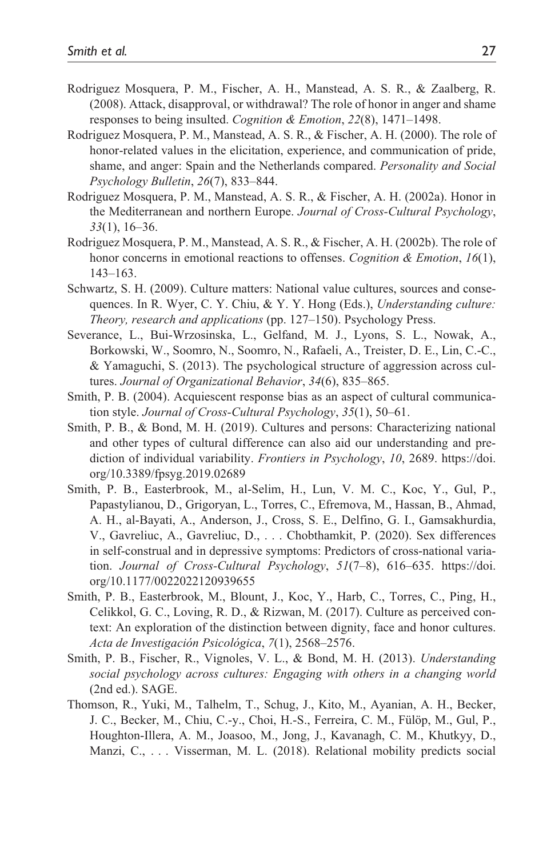- Rodriguez Mosquera, P. M., Fischer, A. H., Manstead, A. S. R., & Zaalberg, R. (2008). Attack, disapproval, or withdrawal? The role of honor in anger and shame responses to being insulted. *Cognition & Emotion*, *22*(8), 1471–1498.
- Rodriguez Mosquera, P. M., Manstead, A. S. R., & Fischer, A. H. (2000). The role of honor-related values in the elicitation, experience, and communication of pride, shame, and anger: Spain and the Netherlands compared. *Personality and Social Psychology Bulletin*, *26*(7), 833–844.
- Rodriguez Mosquera, P. M., Manstead, A. S. R., & Fischer, A. H. (2002a). Honor in the Mediterranean and northern Europe. *Journal of Cross-Cultural Psychology*, *33*(1), 16–36.
- Rodriguez Mosquera, P. M., Manstead, A. S. R., & Fischer, A. H. (2002b). The role of honor concerns in emotional reactions to offenses. *Cognition & Emotion*, *16*(1), 143–163.
- Schwartz, S. H. (2009). Culture matters: National value cultures, sources and consequences. In R. Wyer, C. Y. Chiu, & Y. Y. Hong (Eds.), *Understanding culture: Theory, research and applications* (pp. 127–150). Psychology Press.
- Severance, L., Bui-Wrzosinska, L., Gelfand, M. J., Lyons, S. L., Nowak, A., Borkowski, W., Soomro, N., Soomro, N., Rafaeli, A., Treister, D. E., Lin, C.-C., & Yamaguchi, S. (2013). The psychological structure of aggression across cultures. *Journal of Organizational Behavior*, *34*(6), 835–865.
- Smith, P. B. (2004). Acquiescent response bias as an aspect of cultural communication style. *Journal of Cross-Cultural Psychology*, *35*(1), 50–61.
- Smith, P. B., & Bond, M. H. (2019). Cultures and persons: Characterizing national and other types of cultural difference can also aid our understanding and prediction of individual variability. *Frontiers in Psychology*, *10*, 2689. [https://doi.](https://doi.org/10.3389/fpsyg.2019.02689) [org/10.3389/fpsyg.2019.02689](https://doi.org/10.3389/fpsyg.2019.02689)
- Smith, P. B., Easterbrook, M., al-Selim, H., Lun, V. M. C., Koc, Y., Gul, P., Papastylianou, D., Grigoryan, L., Torres, C., Efremova, M., Hassan, B., Ahmad, A. H., al-Bayati, A., Anderson, J., Cross, S. E., Delfino, G. I., Gamsakhurdia, V., Gavreliuc, A., Gavreliuc, D., . . . Chobthamkit, P. (2020). Sex differences in self-construal and in depressive symptoms: Predictors of cross-national variation. *Journal of Cross-Cultural Psychology*, *51*(7–8), 616–635. [https://doi.](https://doi.org/10.1177/0022022120939655) [org/10.1177/0022022120939655](https://doi.org/10.1177/0022022120939655)
- Smith, P. B., Easterbrook, M., Blount, J., Koc, Y., Harb, C., Torres, C., Ping, H., Celikkol, G. C., Loving, R. D., & Rizwan, M. (2017). Culture as perceived context: An exploration of the distinction between dignity, face and honor cultures. *Acta de Investigación Psicológica*, *7*(1), 2568–2576.
- Smith, P. B., Fischer, R., Vignoles, V. L., & Bond, M. H. (2013). *Understanding social psychology across cultures: Engaging with others in a changing world* (2nd ed.). SAGE.
- Thomson, R., Yuki, M., Talhelm, T., Schug, J., Kito, M., Ayanian, A. H., Becker, J. C., Becker, M., Chiu, C.-y., Choi, H.-S., Ferreira, C. M., Fülöp, M., Gul, P., Houghton-Illera, A. M., Joasoo, M., Jong, J., Kavanagh, C. M., Khutkyy, D., Manzi, C., . . . Visserman, M. L. (2018). Relational mobility predicts social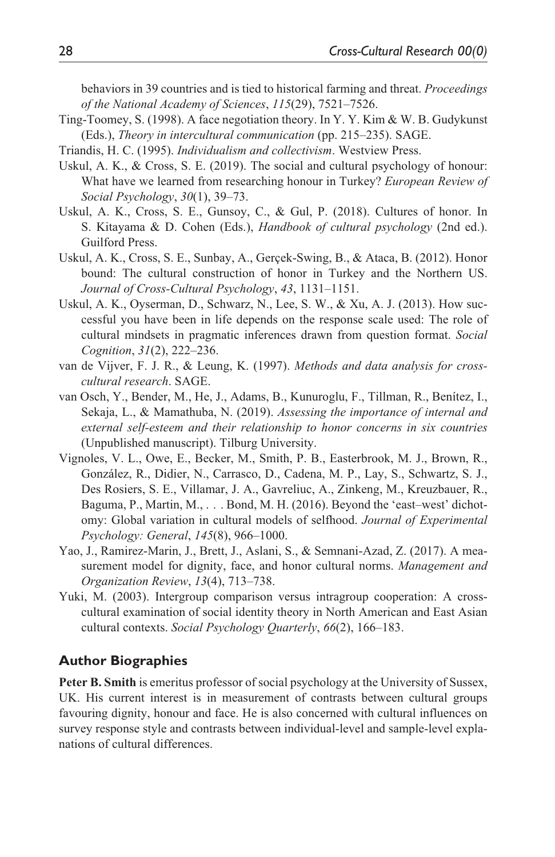behaviors in 39 countries and is tied to historical farming and threat. *Proceedings of the National Academy of Sciences*, *115*(29), 7521–7526.

- Ting-Toomey, S. (1998). A face negotiation theory. In Y. Y. Kim & W. B. Gudykunst (Eds.), *Theory in intercultural communication* (pp. 215–235). SAGE.
- Triandis, H. C. (1995). *Individualism and collectivism*. Westview Press.
- Uskul, A. K., & Cross, S. E. (2019). The social and cultural psychology of honour: What have we learned from researching honour in Turkey? *European Review of Social Psychology*, *30*(1), 39–73.
- Uskul, A. K., Cross, S. E., Gunsoy, C., & Gul, P. (2018). Cultures of honor. In S. Kitayama & D. Cohen (Eds.), *Handbook of cultural psychology* (2nd ed.). Guilford Press.
- Uskul, A. K., Cross, S. E., Sunbay, A., Gerçek-Swing, B., & Ataca, B. (2012). Honor bound: The cultural construction of honor in Turkey and the Northern US. *Journal of Cross-Cultural Psychology*, *43*, 1131–1151.
- Uskul, A. K., Oyserman, D., Schwarz, N., Lee, S. W., & Xu, A. J. (2013). How successful you have been in life depends on the response scale used: The role of cultural mindsets in pragmatic inferences drawn from question format. *Social Cognition*, *31*(2), 222–236.
- van de Vijver, F. J. R., & Leung, K. (1997). *Methods and data analysis for crosscultural research*. SAGE.
- van Osch, Y., Bender, M., He, J., Adams, B., Kunuroglu, F., Tillman, R., Benítez, I., Sekaja, L., & Mamathuba, N. (2019). *Assessing the importance of internal and external self-esteem and their relationship to honor concerns in six countries* (Unpublished manuscript). Tilburg University.
- Vignoles, V. L., Owe, E., Becker, M., Smith, P. B., Easterbrook, M. J., Brown, R., González, R., Didier, N., Carrasco, D., Cadena, M. P., Lay, S., Schwartz, S. J., Des Rosiers, S. E., Villamar, J. A., Gavreliuc, A., Zinkeng, M., Kreuzbauer, R., Baguma, P., Martin, M., . . . Bond, M. H. (2016). Beyond the 'east–west' dichotomy: Global variation in cultural models of selfhood. *Journal of Experimental Psychology: General*, *145*(8), 966–1000.
- Yao, J., Ramirez-Marin, J., Brett, J., Aslani, S., & Semnani-Azad, Z. (2017). A measurement model for dignity, face, and honor cultural norms. *Management and Organization Review*, *13*(4), 713–738.
- Yuki, M. (2003). Intergroup comparison versus intragroup cooperation: A crosscultural examination of social identity theory in North American and East Asian cultural contexts. *Social Psychology Quarterly*, *66*(2), 166–183.

#### **Author Biographies**

**Peter B. Smith** is emeritus professor of social psychology at the University of Sussex, UK. His current interest is in measurement of contrasts between cultural groups favouring dignity, honour and face. He is also concerned with cultural influences on survey response style and contrasts between individual-level and sample-level explanations of cultural differences.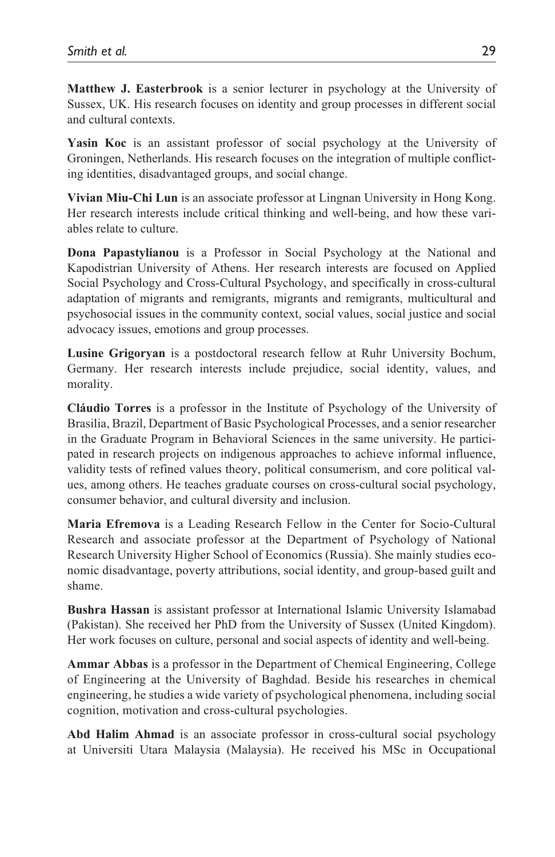**Matthew J. Easterbrook** is a senior lecturer in psychology at the University of Sussex, UK. His research focuses on identity and group processes in different social and cultural contexts.

Yasin Koc is an assistant professor of social psychology at the University of Groningen, Netherlands. His research focuses on the integration of multiple conflicting identities, disadvantaged groups, and social change.

**Vivian Miu-Chi Lun** is an associate professor at Lingnan University in Hong Kong. Her research interests include critical thinking and well-being, and how these variables relate to culture.

**Dona Papastylianou** is a Professor in Social Psychology at the National and Kapodistrian University of Athens. Her research interests are focused on Applied Social Psychology and Cross-Cultural Psychology, and specifically in cross-cultural adaptation of migrants and remigrants, migrants and remigrants, multicultural and psychosocial issues in the community context, social values, social justice and social advocacy issues, emotions and group processes.

**Lusine Grigoryan** is a postdoctoral research fellow at Ruhr University Bochum, Germany. Her research interests include prejudice, social identity, values, and morality.

**Cláudio Torres** is a professor in the Institute of Psychology of the University of Brasilia, Brazil, Department of Basic Psychological Processes, and a senior researcher in the Graduate Program in Behavioral Sciences in the same university. He participated in research projects on indigenous approaches to achieve informal influence, validity tests of refined values theory, political consumerism, and core political values, among others. He teaches graduate courses on cross-cultural social psychology, consumer behavior, and cultural diversity and inclusion.

**Maria Efremova** is a Leading Research Fellow in the Center for Socio-Cultural Research and associate professor at the Department of Psychology of National Research University Higher School of Economics (Russia). She mainly studies economic disadvantage, poverty attributions, social identity, and group-based guilt and shame.

**Bushra Hassan** is assistant professor at International Islamic University Islamabad (Pakistan). She received her PhD from the University of Sussex (United Kingdom). Her work focuses on culture, personal and social aspects of identity and well-being.

**Ammar Abbas** is a professor in the Department of Chemical Engineering, College of Engineering at the University of Baghdad. Beside his researches in chemical engineering, he studies a wide variety of psychological phenomena, including social cognition, motivation and cross-cultural psychologies.

**Abd Halim Ahmad** is an associate professor in cross-cultural social psychology at Universiti Utara Malaysia (Malaysia). He received his MSc in Occupational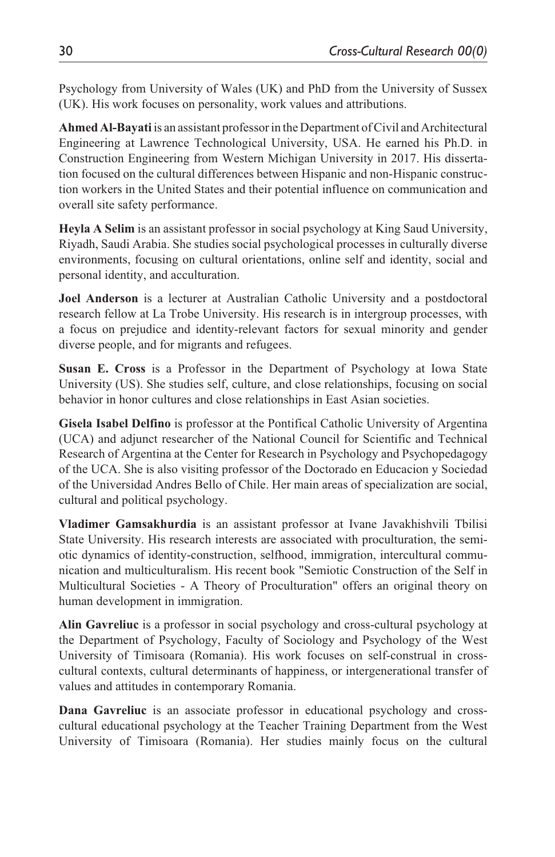Psychology from University of Wales (UK) and PhD from the University of Sussex (UK). His work focuses on personality, work values and attributions.

**Ahmed Al-Bayati** is an assistant professor in the Department of Civil and Architectural Engineering at Lawrence Technological University, USA. He earned his Ph.D. in Construction Engineering from Western Michigan University in 2017. His dissertation focused on the cultural differences between Hispanic and non-Hispanic construction workers in the United States and their potential influence on communication and overall site safety performance.

**Heyla A Selim** is an assistant professor in social psychology at King Saud University, Riyadh, Saudi Arabia. She studies social psychological processes in culturally diverse environments, focusing on cultural orientations, online self and identity, social and personal identity, and acculturation.

**Joel Anderson** is a lecturer at Australian Catholic University and a postdoctoral research fellow at La Trobe University. His research is in intergroup processes, with a focus on prejudice and identity-relevant factors for sexual minority and gender diverse people, and for migrants and refugees.

**Susan E. Cross** is a Professor in the Department of Psychology at Iowa State University (US). She studies self, culture, and close relationships, focusing on social behavior in honor cultures and close relationships in East Asian societies.

**Gisela Isabel Delfino** is professor at the Pontifical Catholic University of Argentina (UCA) and adjunct researcher of the National Council for Scientific and Technical Research of Argentina at the Center for Research in Psychology and Psychopedagogy of the UCA. She is also visiting professor of the Doctorado en Educacion y Sociedad of the Universidad Andres Bello of Chile. Her main areas of specialization are social, cultural and political psychology.

**Vladimer Gamsakhurdia** is an assistant professor at Ivane Javakhishvili Tbilisi State University. His research interests are associated with proculturation, the semiotic dynamics of identity-construction, selfhood, immigration, intercultural communication and multiculturalism. His recent book "Semiotic Construction of the Self in Multicultural Societies - A Theory of Proculturation" offers an original theory on human development in immigration.

**Alin Gavreliuc** is a professor in social psychology and cross-cultural psychology at the Department of Psychology, Faculty of Sociology and Psychology of the West University of Timisoara (Romania). His work focuses on self-construal in crosscultural contexts, cultural determinants of happiness, or intergenerational transfer of values and attitudes in contemporary Romania.

**Dana Gavreliuc** is an associate professor in educational psychology and crosscultural educational psychology at the Teacher Training Department from the West University of Timisoara (Romania). Her studies mainly focus on the cultural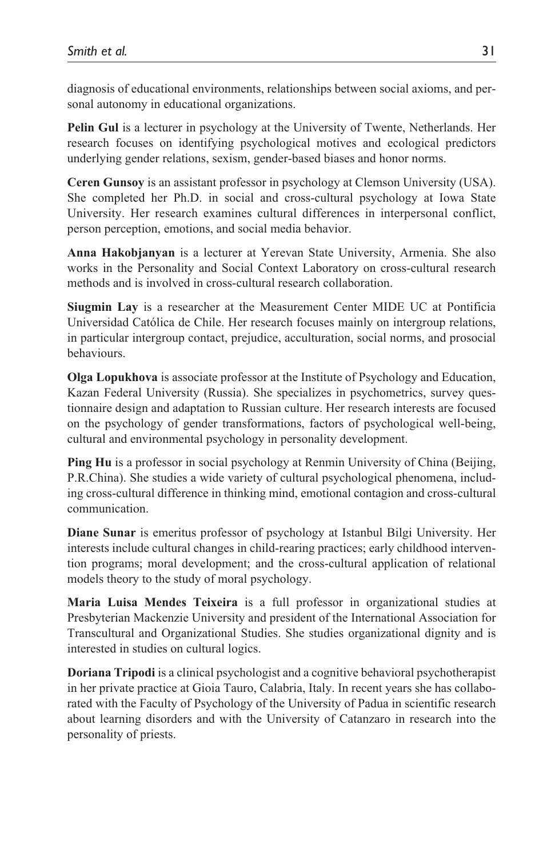diagnosis of educational environments, relationships between social axioms, and personal autonomy in educational organizations.

**Pelin Gul** is a lecturer in psychology at the University of Twente, Netherlands. Her research focuses on identifying psychological motives and ecological predictors underlying gender relations, sexism, gender-based biases and honor norms.

**Ceren Gunsoy** is an assistant professor in psychology at Clemson University (USA). She completed her Ph.D. in social and cross-cultural psychology at Iowa State University. Her research examines cultural differences in interpersonal conflict, person perception, emotions, and social media behavior.

**Anna Hakobjanyan** is a lecturer at Yerevan State University, Armenia. She also works in the Personality and Social Context Laboratory on cross-cultural research methods and is involved in cross-cultural research collaboration.

**Siugmin Lay** is a researcher at the Measurement Center MIDE UC at Pontificia Universidad Católica de Chile. Her research focuses mainly on intergroup relations, in particular intergroup contact, prejudice, acculturation, social norms, and prosocial behaviours.

**Olga Lopukhova** is associate professor at the Institute of Psychology and Education, Kazan Federal University (Russia). She specializes in psychometrics, survey questionnaire design and adaptation to Russian culture. Her research interests are focused on the psychology of gender transformations, factors of psychological well-being, cultural and environmental psychology in personality development.

**Ping Hu** is a professor in social psychology at Renmin University of China (Beijing, P.R.China). She studies a wide variety of cultural psychological phenomena, including cross-cultural difference in thinking mind, emotional contagion and cross-cultural communication.

**Diane Sunar** is emeritus professor of psychology at Istanbul Bilgi University. Her interests include cultural changes in child-rearing practices; early childhood intervention programs; moral development; and the cross-cultural application of relational models theory to the study of moral psychology.

**Maria Luisa Mendes Teixeira** is a full professor in organizational studies at Presbyterian Mackenzie University and president of the International Association for Transcultural and Organizational Studies. She studies organizational dignity and is interested in studies on cultural logics.

**Doriana Tripodi** is a clinical psychologist and a cognitive behavioral psychotherapist in her private practice at Gioia Tauro, Calabria, Italy. In recent years she has collaborated with the Faculty of Psychology of the University of Padua in scientific research about learning disorders and with the University of Catanzaro in research into the personality of priests.